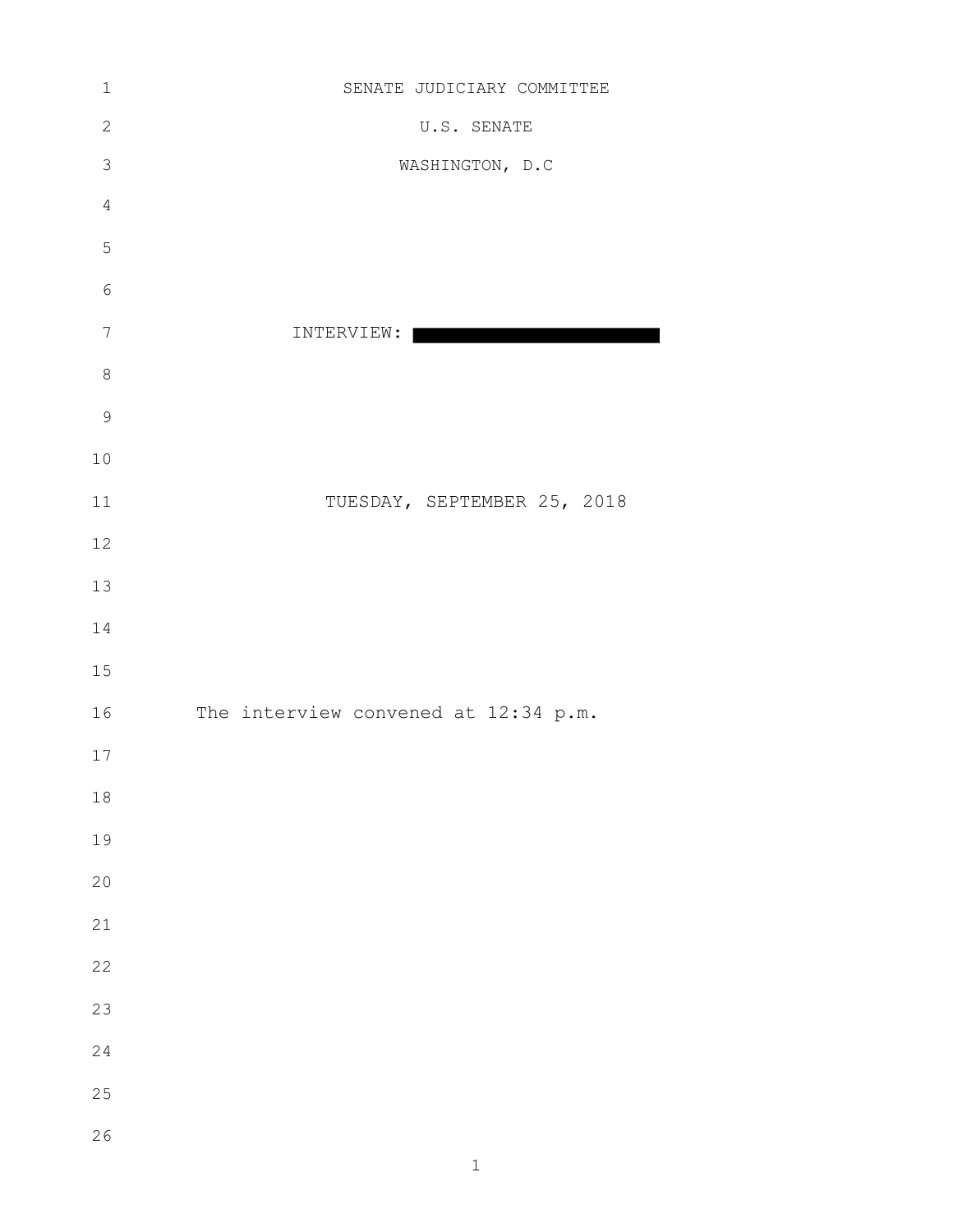| $\mathbf 1$      | SENATE JUDICIARY COMMITTEE           |
|------------------|--------------------------------------|
| $\mathbf{2}$     | U.S. SENATE                          |
| $\mathfrak{Z}$   | WASHINGTON, D.C                      |
| $\overline{4}$   |                                      |
| $\overline{5}$   |                                      |
| $\sqrt{6}$       |                                      |
| $\boldsymbol{7}$ | INTERVIEW:                           |
| $\,8\,$          |                                      |
| $\mathsf 9$      |                                      |
| $10$             |                                      |
| $11$             | TUESDAY, SEPTEMBER 25, 2018          |
| $12$             |                                      |
| 13               |                                      |
| $1\,4$           |                                      |
| $15$             |                                      |
| 16               | The interview convened at 12:34 p.m. |
| $17$             |                                      |
| $18\,$           |                                      |
| 19               |                                      |
| $20$             |                                      |
| $2\sqrt{1}$      |                                      |
| 22               |                                      |
| 23               |                                      |
| 24               |                                      |
| $2\sqrt{5}$      |                                      |
| $2\sqrt{6}$      |                                      |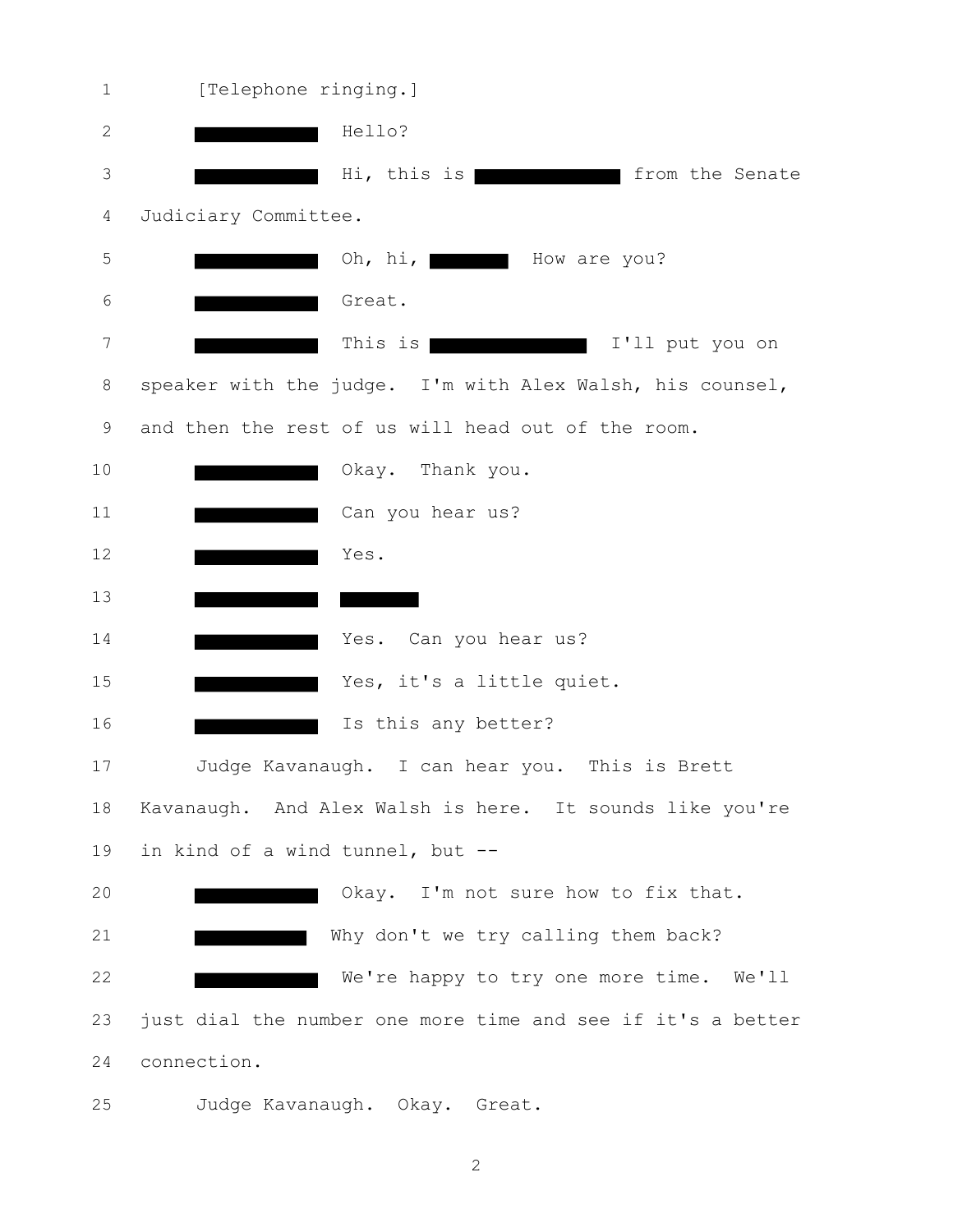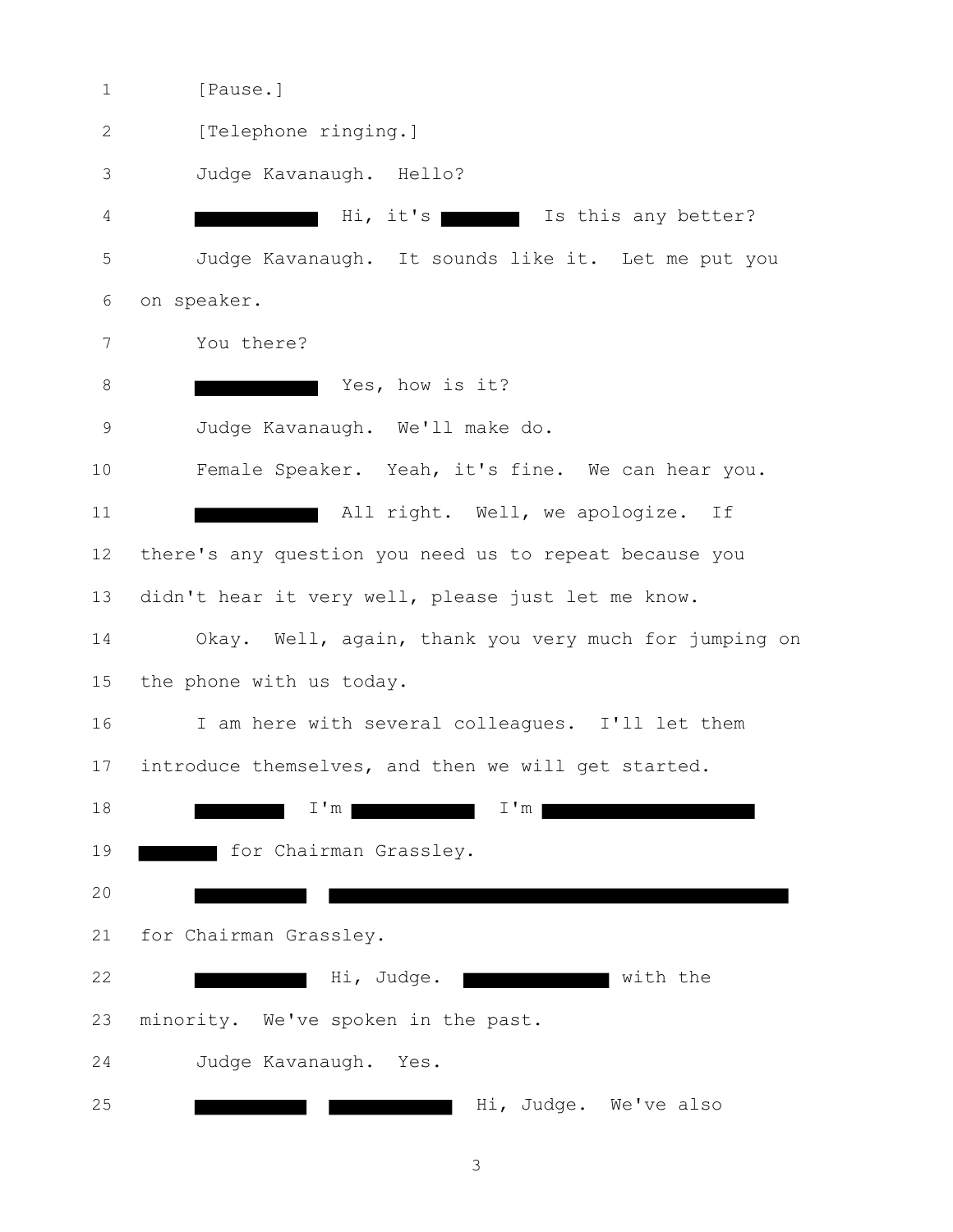1 [Pause.] 2 [Telephone ringing.] Judge Kavanaugh. Hello? 4 Hi, it's Is this any better? Judge Kavanaugh. It sounds like it. Let me put you on speaker. You there? 8 Yes, how is it? Judge Kavanaugh. We'll make do. Female Speaker. Yeah, it's fine. We can hear you. **All right.** Well, we apologize. If there's any question you need us to repeat because you didn't hear it very well, please just let me know. Okay. Well, again, thank you very much for jumping on the phone with us today. I am here with several colleagues. I'll let them introduce themselves, and then we will get started. **I'm I'm I'm I'm I'm I'm For Chairman Grassley.**  for Chairman Grassley. **Hi, Judge.** With the minority. We've spoken in the past. Judge Kavanaugh. Yes. **Hi, Judge. We've also**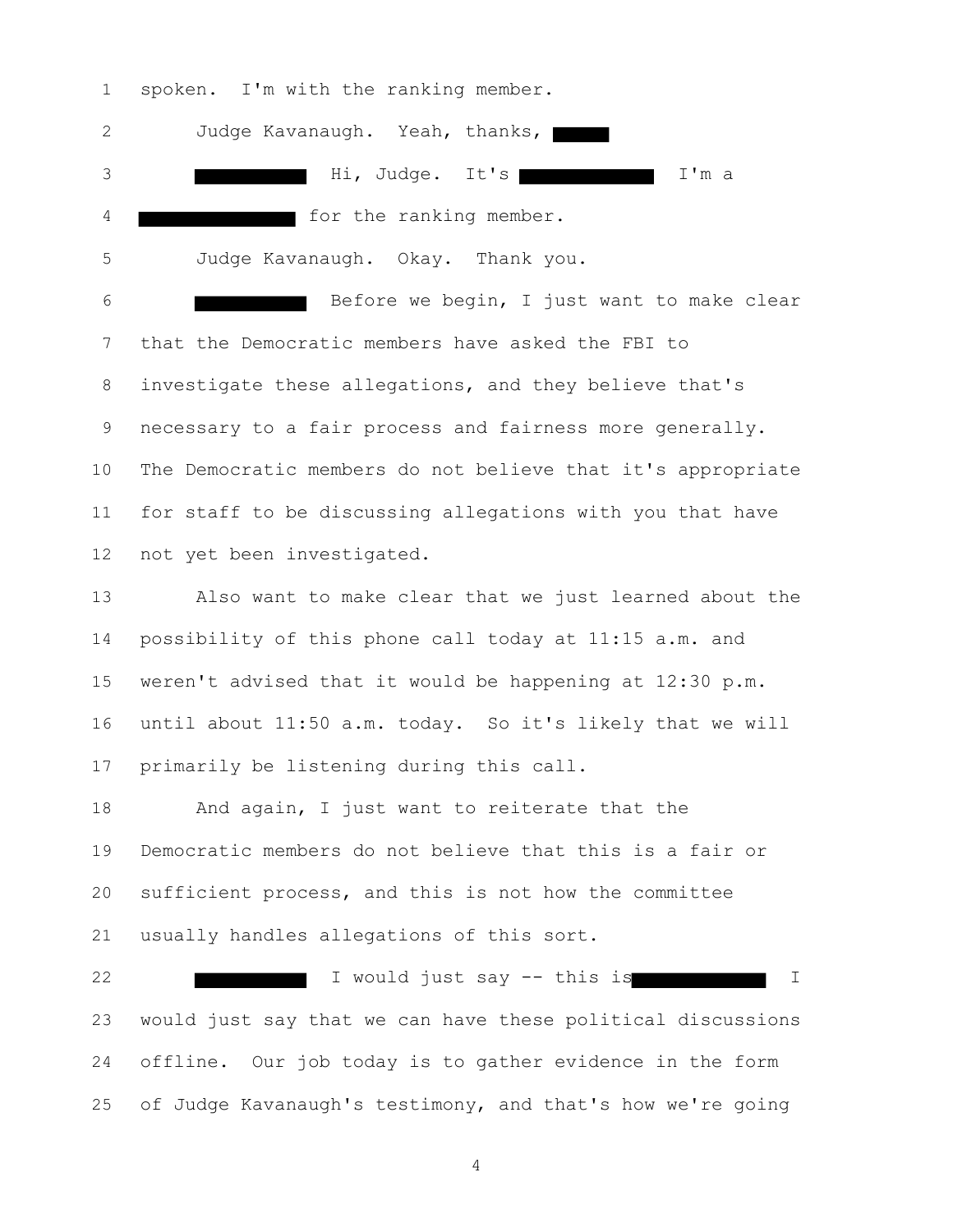spoken. I'm with the ranking member.

 Judge Kavanaugh. Yeah, thanks, 3 and Hi, Judge. It's a I'm a for the ranking member. Judge Kavanaugh. Okay. Thank you. Before we begin, I just want to make clear that the Democratic members have asked the FBI to investigate these allegations, and they believe that's necessary to a fair process and fairness more generally. The Democratic members do not believe that it's appropriate for staff to be discussing allegations with you that have not yet been investigated. Also want to make clear that we just learned about the possibility of this phone call today at 11:15 a.m. and weren't advised that it would be happening at 12:30 p.m. until about 11:50 a.m. today. So it's likely that we will primarily be listening during this call.

 And again, I just want to reiterate that the Democratic members do not believe that this is a fair or sufficient process, and this is not how the committee usually handles allegations of this sort.

22 I would just say -- this is I would just say that we can have these political discussions offline. Our job today is to gather evidence in the form of Judge Kavanaugh's testimony, and that's how we're going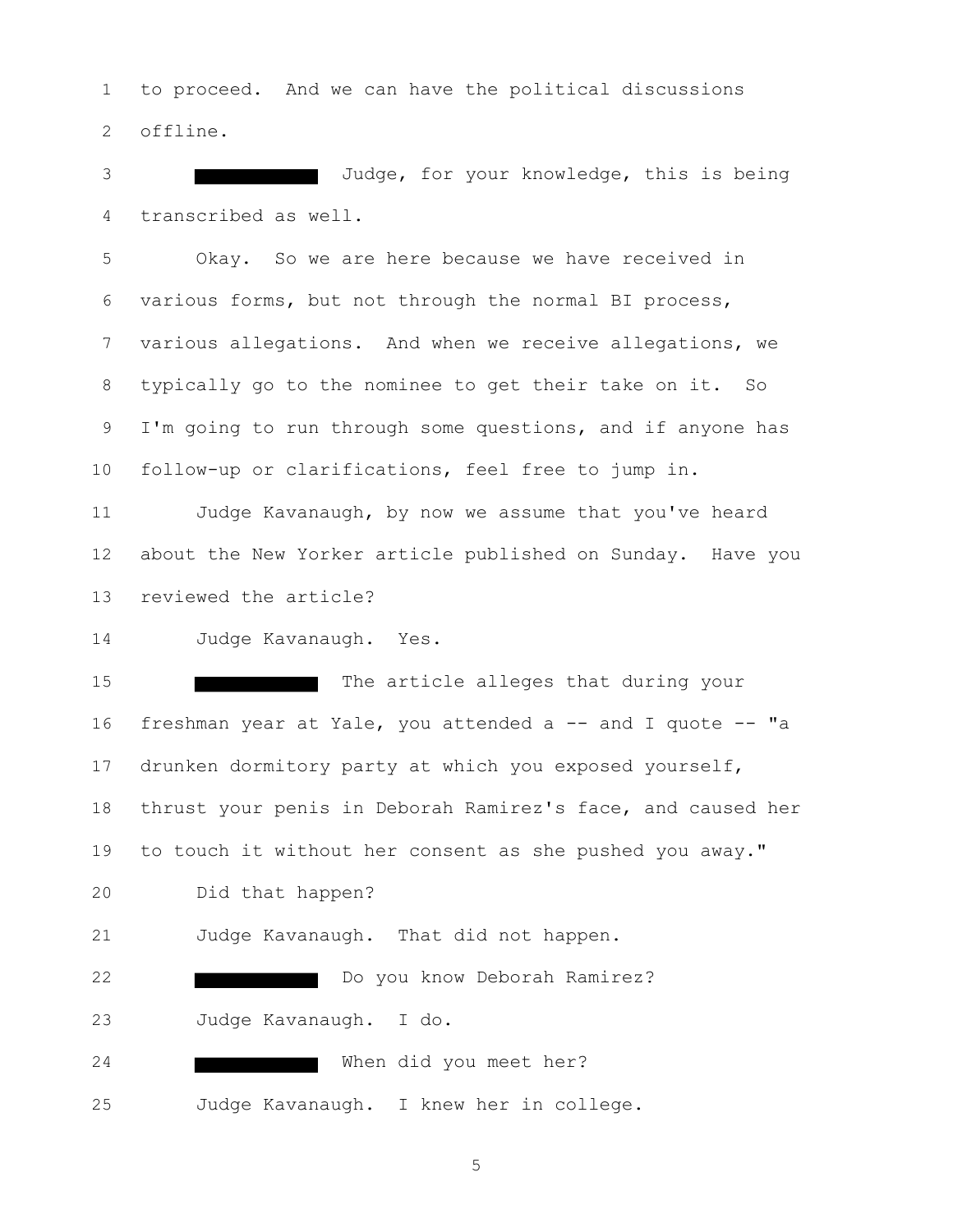to proceed. And we can have the political discussions offline.

 Judge, for your knowledge, this is being transcribed as well.

 Okay. So we are here because we have received in various forms, but not through the normal BI process, various allegations. And when we receive allegations, we typically go to the nominee to get their take on it. So 9 I'm going to run through some questions, and if anyone has follow-up or clarifications, feel free to jump in.

 Judge Kavanaugh, by now we assume that you've heard about the New Yorker article published on Sunday. Have you reviewed the article?

Judge Kavanaugh. Yes.

 The article alleges that during your freshman year at Yale, you attended a -- and I quote -- "a drunken dormitory party at which you exposed yourself, thrust your penis in Deborah Ramirez's face, and caused her to touch it without her consent as she pushed you away." Did that happen? Judge Kavanaugh. That did not happen. **Do you know Deborah Ramirez?**  Judge Kavanaugh. I do. When did you meet her? Judge Kavanaugh. I knew her in college.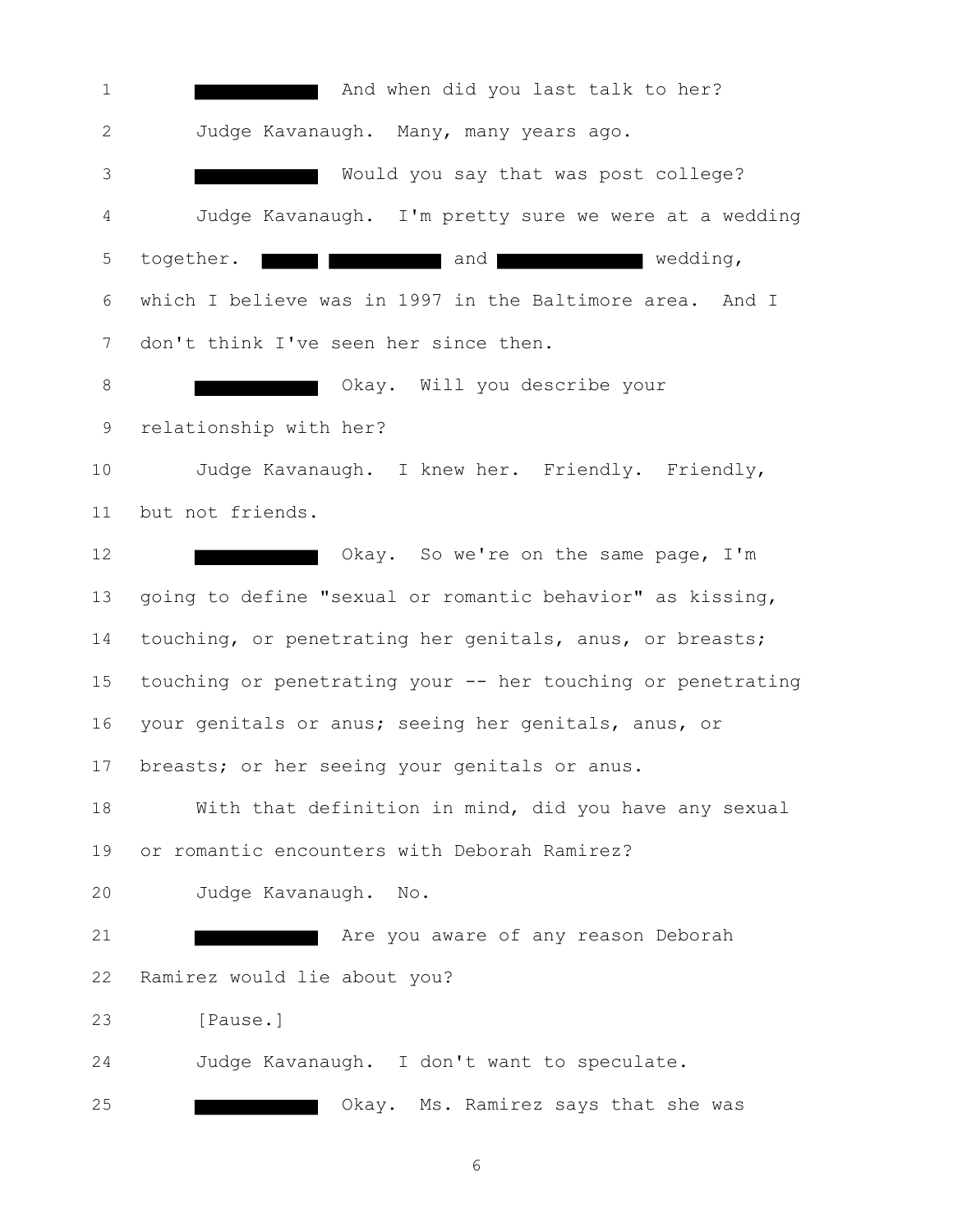**And when did you last talk to her?**  Judge Kavanaugh. Many, many years ago. Would you say that was post college? Judge Kavanaugh. I'm pretty sure we were at a wedding 5 together. **The state of the state of the state of the state of the state of the state of the state of the state of the state of the state of the state of the state of the state of the state of the state of the state of t**  which I believe was in 1997 in the Baltimore area. And I don't think I've seen her since then. **B** Okay. Will you describe your relationship with her? Judge Kavanaugh. I knew her. Friendly. Friendly, but not friends. **Character Communist Communist Communist Communist Communist Communist Communist Communist Communist Communist Communist Communist Communist Communist Communist Communist Communist Communist Communist Communist Communis**  going to define "sexual or romantic behavior" as kissing, touching, or penetrating her genitals, anus, or breasts; touching or penetrating your -- her touching or penetrating your genitals or anus; seeing her genitals, anus, or breasts; or her seeing your genitals or anus. With that definition in mind, did you have any sexual or romantic encounters with Deborah Ramirez? Judge Kavanaugh. No. **Are you aware of any reason Deborah**  Ramirez would lie about you? [Pause.] Judge Kavanaugh. I don't want to speculate. **Case of School School** Okay. Ms. Ramirez says that she was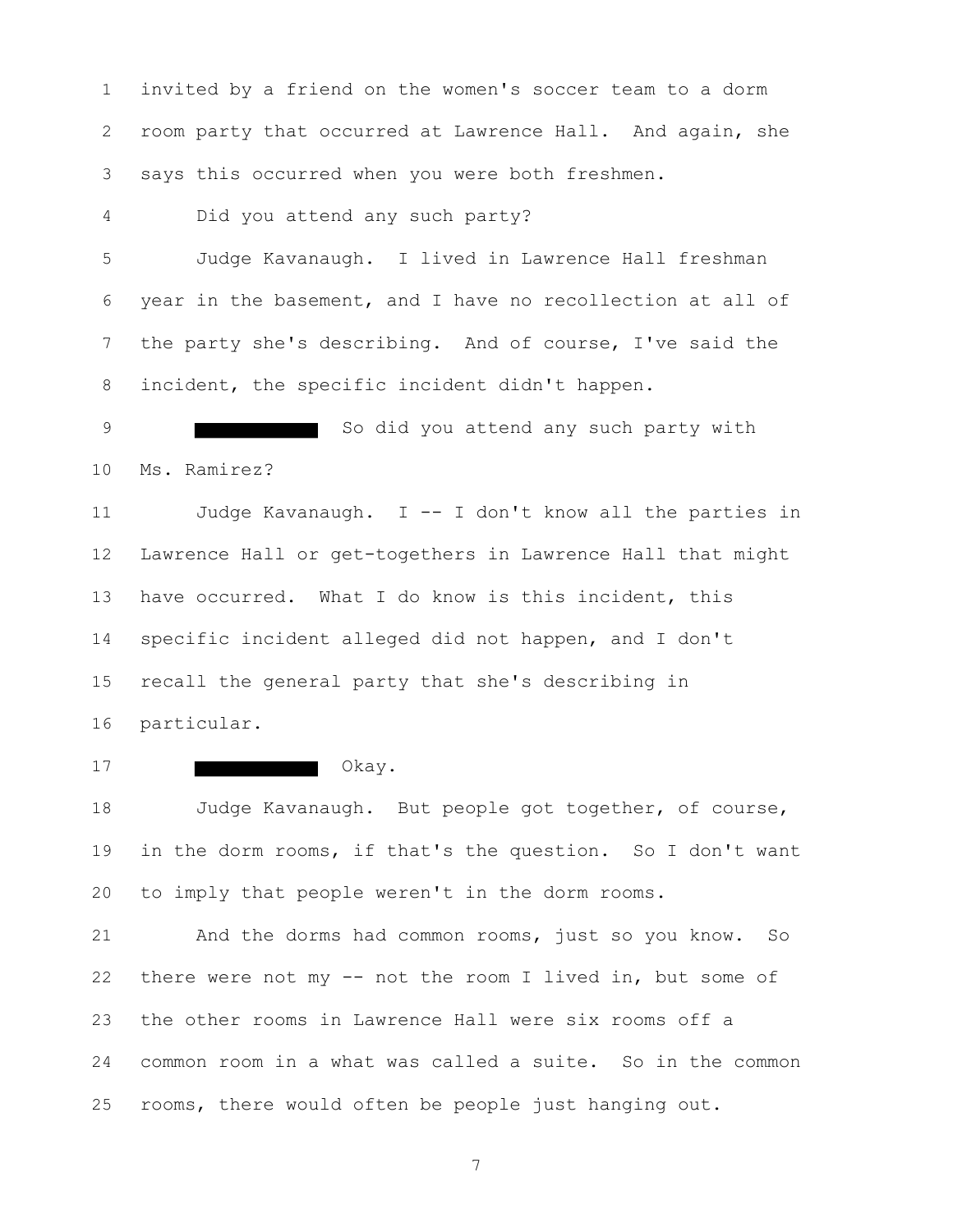invited by a friend on the women's soccer team to a dorm room party that occurred at Lawrence Hall. And again, she says this occurred when you were both freshmen.

Did you attend any such party?

 Judge Kavanaugh. I lived in Lawrence Hall freshman year in the basement, and I have no recollection at all of the party she's describing. And of course, I've said the incident, the specific incident didn't happen.

9 So did you attend any such party with Ms. Ramirez?

 Judge Kavanaugh. I -- I don't know all the parties in Lawrence Hall or get-togethers in Lawrence Hall that might have occurred. What I do know is this incident, this specific incident alleged did not happen, and I don't recall the general party that she's describing in particular.

## Okay.

 Judge Kavanaugh. But people got together, of course, in the dorm rooms, if that's the question. So I don't want to imply that people weren't in the dorm rooms.

 And the dorms had common rooms, just so you know. So there were not my -- not the room I lived in, but some of the other rooms in Lawrence Hall were six rooms off a common room in a what was called a suite. So in the common rooms, there would often be people just hanging out.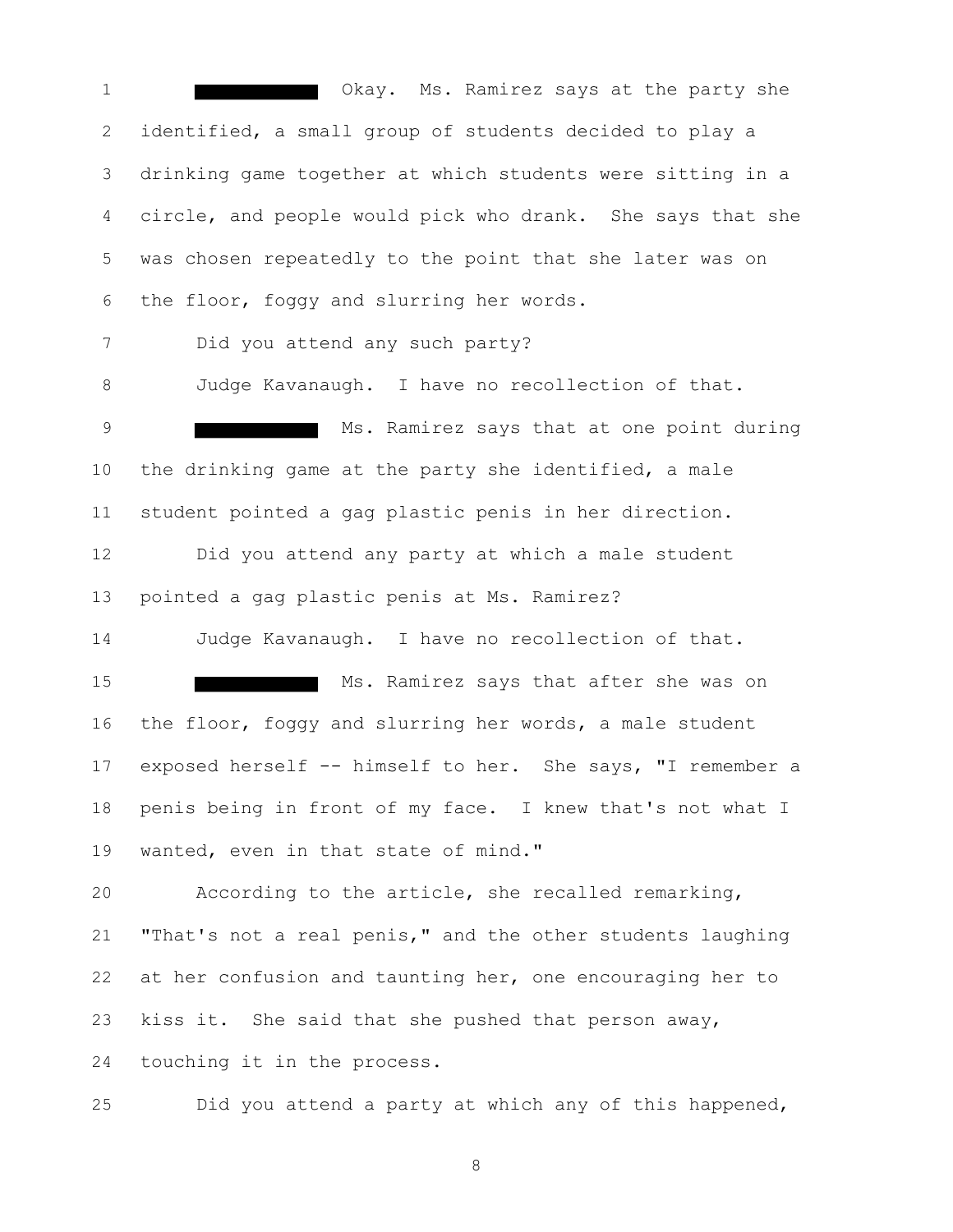1 Okay. Ms. Ramirez says at the party she identified, a small group of students decided to play a drinking game together at which students were sitting in a circle, and people would pick who drank. She says that she was chosen repeatedly to the point that she later was on the floor, foggy and slurring her words. Did you attend any such party? Judge Kavanaugh. I have no recollection of that. 9 Ms. Ramirez says that at one point during the drinking game at the party she identified, a male student pointed a gag plastic penis in her direction. Did you attend any party at which a male student pointed a gag plastic penis at Ms. Ramirez? Judge Kavanaugh. I have no recollection of that. 15 Ms. Ramirez says that after she was on the floor, foggy and slurring her words, a male student exposed herself -- himself to her. She says, "I remember a penis being in front of my face. I knew that's not what I wanted, even in that state of mind." According to the article, she recalled remarking, "That's not a real penis," and the other students laughing at her confusion and taunting her, one encouraging her to kiss it. She said that she pushed that person away, touching it in the process.

Did you attend a party at which any of this happened,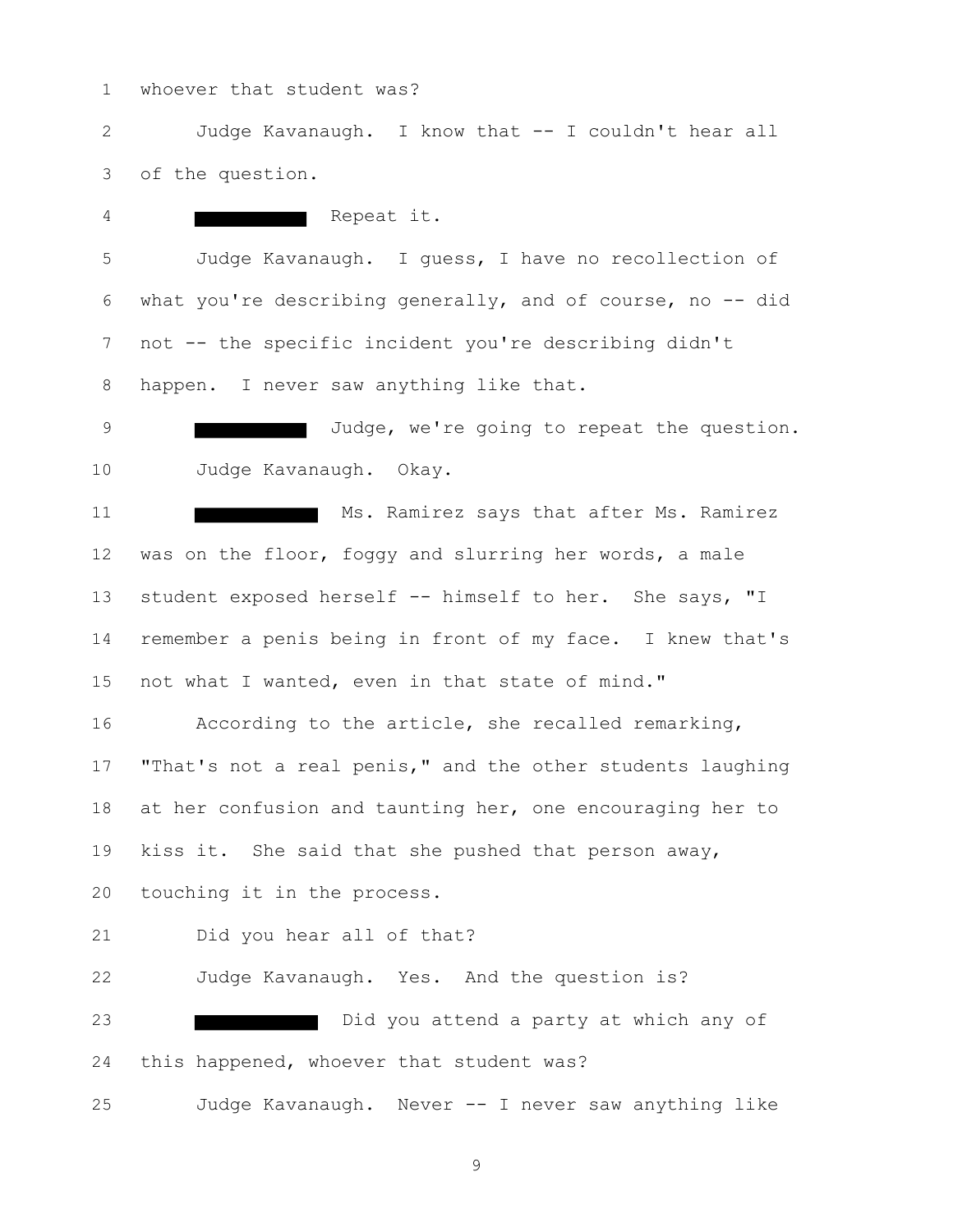whoever that student was?

 Judge Kavanaugh. I know that -- I couldn't hear all of the question.

 Repeat it. Judge Kavanaugh. I guess, I have no recollection of what you're describing generally, and of course, no -- did not -- the specific incident you're describing didn't happen. I never saw anything like that.

9 Judge, we're going to repeat the question. Judge Kavanaugh. Okay.

11 Ms. Ramirez says that after Ms. Ramirez was on the floor, foggy and slurring her words, a male student exposed herself -- himself to her. She says, "I remember a penis being in front of my face. I knew that's not what I wanted, even in that state of mind."

 According to the article, she recalled remarking, 17 "That's not a real penis," and the other students laughing at her confusion and taunting her, one encouraging her to kiss it. She said that she pushed that person away, touching it in the process.

Did you hear all of that?

 Judge Kavanaugh. Yes. And the question is? Did you attend a party at which any of this happened, whoever that student was? Judge Kavanaugh. Never -- I never saw anything like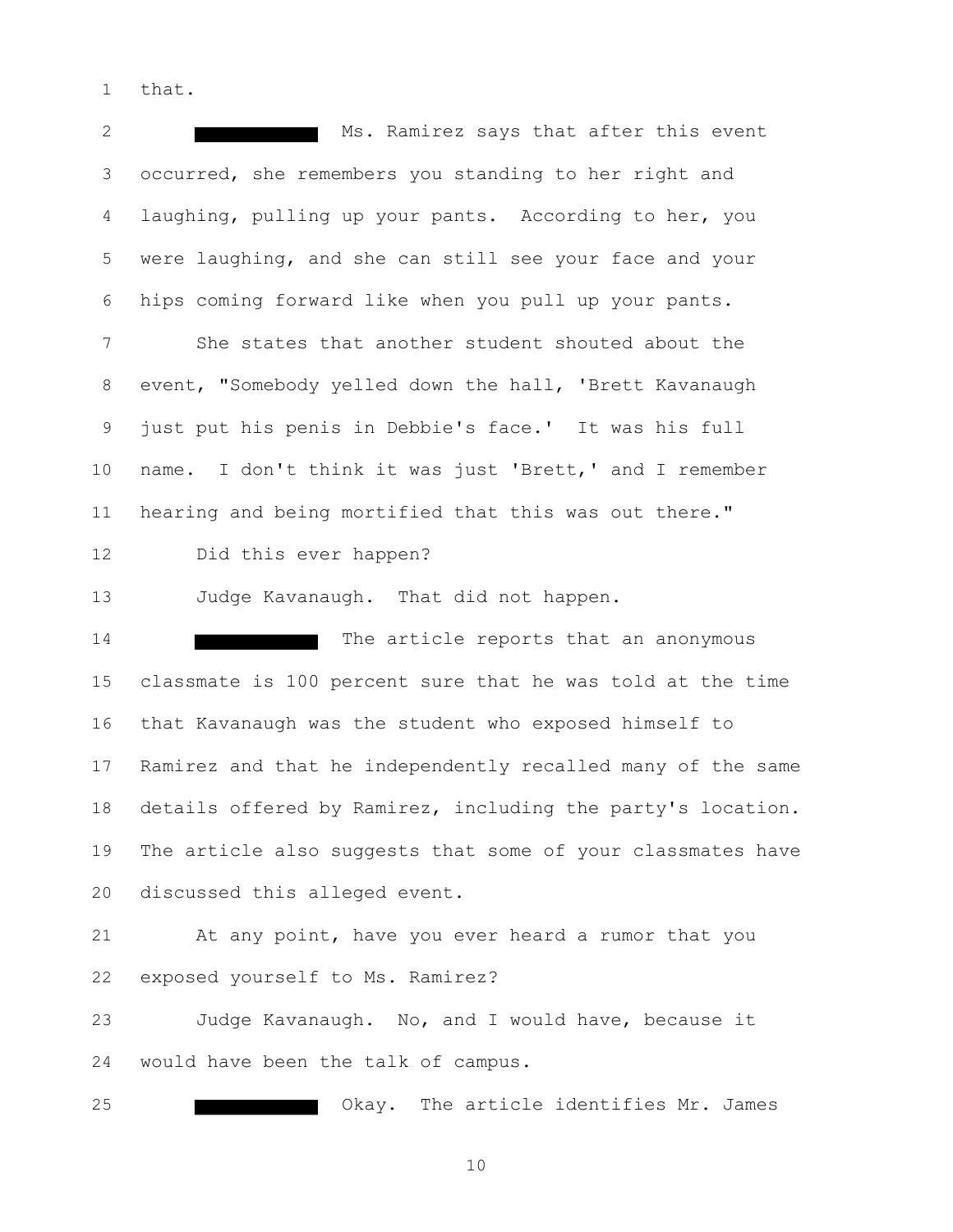that.

2 Ms. Ramirez says that after this event occurred, she remembers you standing to her right and laughing, pulling up your pants. According to her, you were laughing, and she can still see your face and your hips coming forward like when you pull up your pants. She states that another student shouted about the event, "Somebody yelled down the hall, 'Brett Kavanaugh just put his penis in Debbie's face.' It was his full name. I don't think it was just 'Brett,' and I remember hearing and being mortified that this was out there." Did this ever happen? Judge Kavanaugh. That did not happen. 14 The article reports that an anonymous classmate is 100 percent sure that he was told at the time that Kavanaugh was the student who exposed himself to Ramirez and that he independently recalled many of the same details offered by Ramirez, including the party's location. The article also suggests that some of your classmates have discussed this alleged event. At any point, have you ever heard a rumor that you exposed yourself to Ms. Ramirez? Judge Kavanaugh. No, and I would have, because it would have been the talk of campus. Okay. The article identifies Mr. James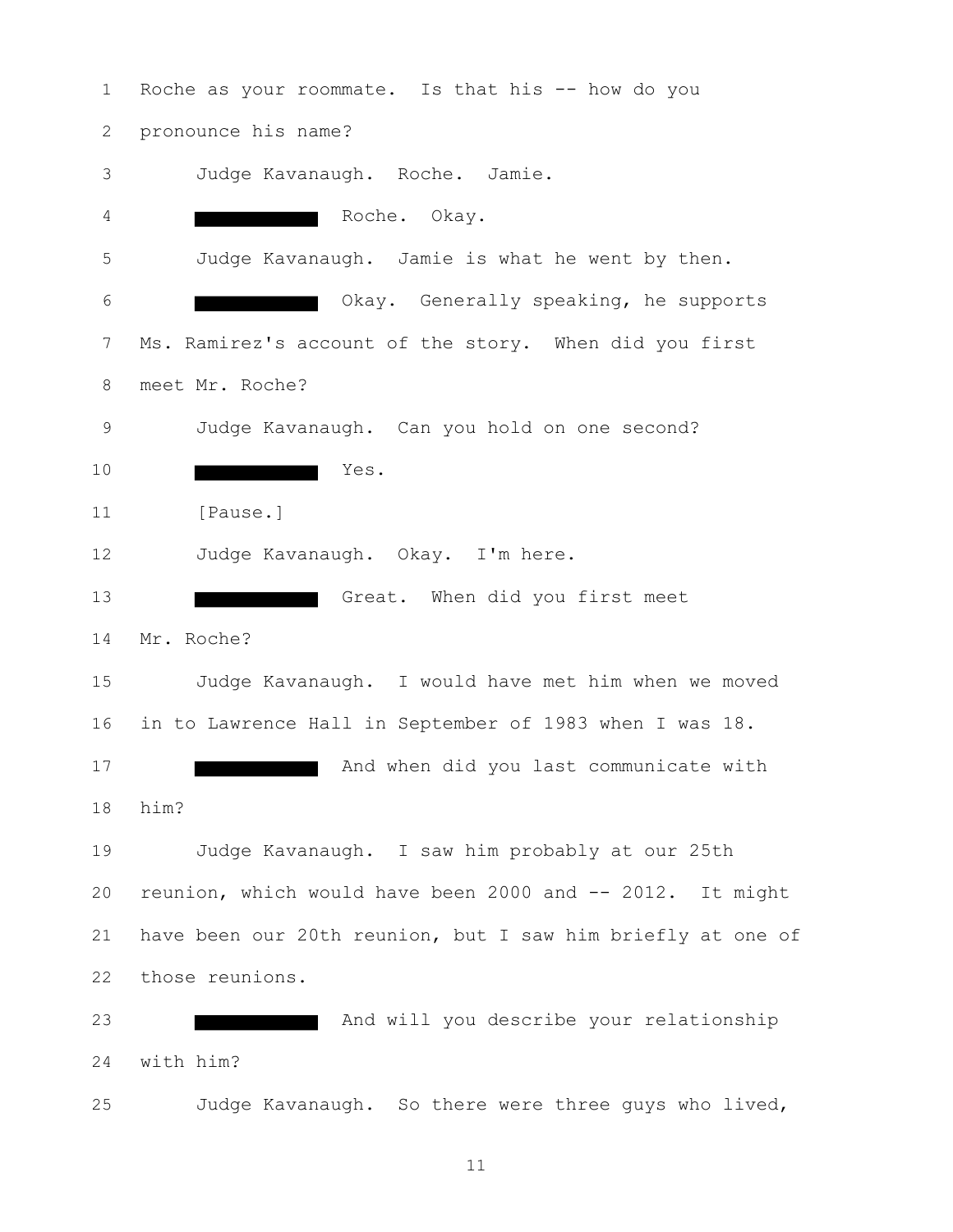Roche as your roommate. Is that his -- how do you pronounce his name? Judge Kavanaugh. Roche. Jamie. Roche. Okay. Judge Kavanaugh. Jamie is what he went by then. Okay. Generally speaking, he supports Ms. Ramirez's account of the story. When did you first meet Mr. Roche? Judge Kavanaugh. Can you hold on one second? Yes. [Pause.] Judge Kavanaugh. Okay. I'm here. 13 Great. When did you first meet Mr. Roche? Judge Kavanaugh. I would have met him when we moved in to Lawrence Hall in September of 1983 when I was 18. **And when did you last communicate with**  him? Judge Kavanaugh. I saw him probably at our 25th reunion, which would have been 2000 and -- 2012. It might have been our 20th reunion, but I saw him briefly at one of those reunions. 23 And will you describe your relationship with him? Judge Kavanaugh. So there were three guys who lived,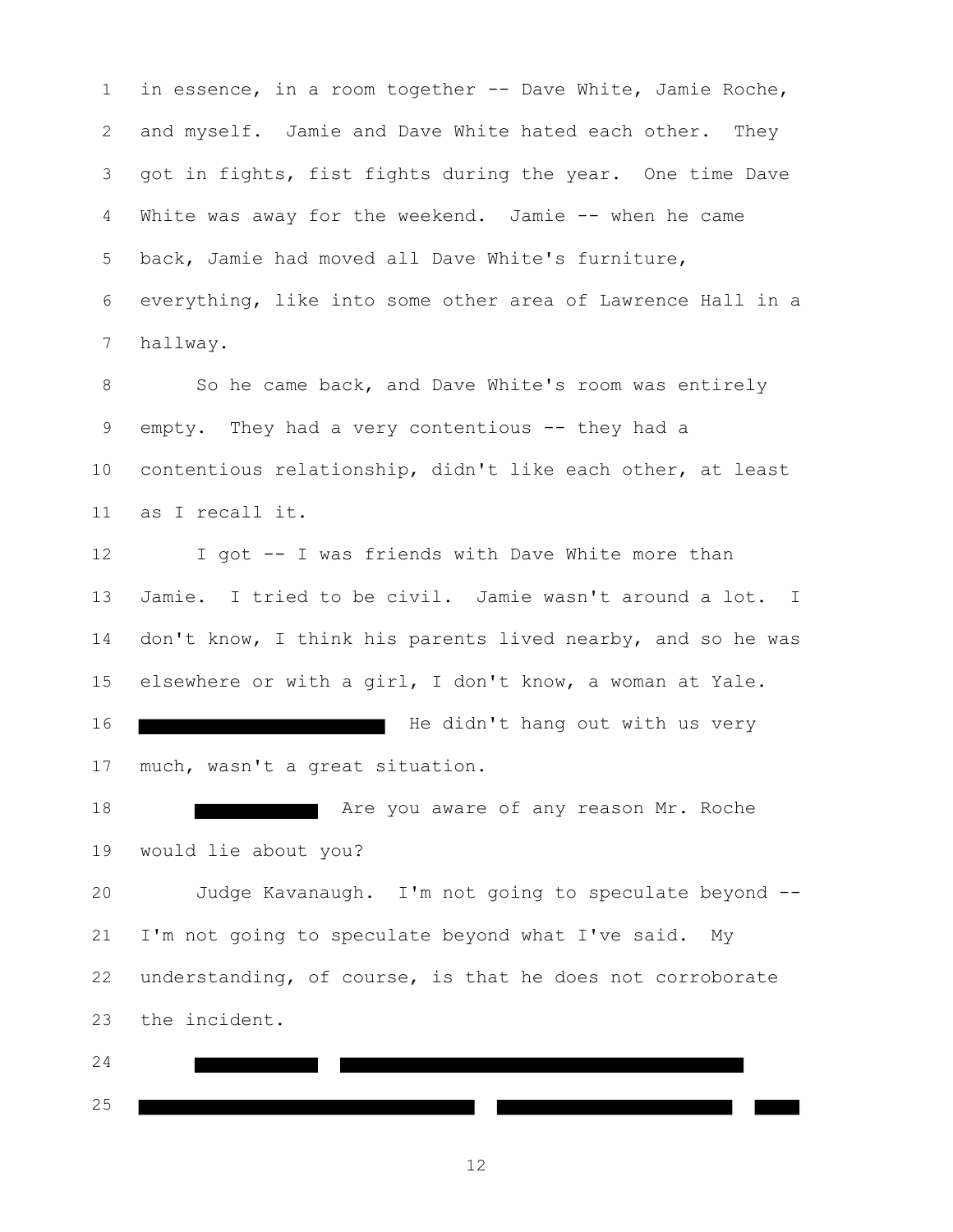in essence, in a room together -- Dave White, Jamie Roche, and myself. Jamie and Dave White hated each other. They got in fights, fist fights during the year. One time Dave White was away for the weekend. Jamie -- when he came back, Jamie had moved all Dave White's furniture, everything, like into some other area of Lawrence Hall in a hallway.

8 So he came back, and Dave White's room was entirely empty. They had a very contentious -- they had a contentious relationship, didn't like each other, at least as I recall it.

 I got -- I was friends with Dave White more than Jamie. I tried to be civil. Jamie wasn't around a lot. I 14 don't know, I think his parents lived nearby, and so he was elsewhere or with a girl, I don't know, a woman at Yale.

**He didn't hang out with us very** much, wasn't a great situation.

**Are you aware of any reason Mr. Roche** would lie about you?

 Judge Kavanaugh. I'm not going to speculate beyond -- I'm not going to speculate beyond what I've said. My understanding, of course, is that he does not corroborate the incident.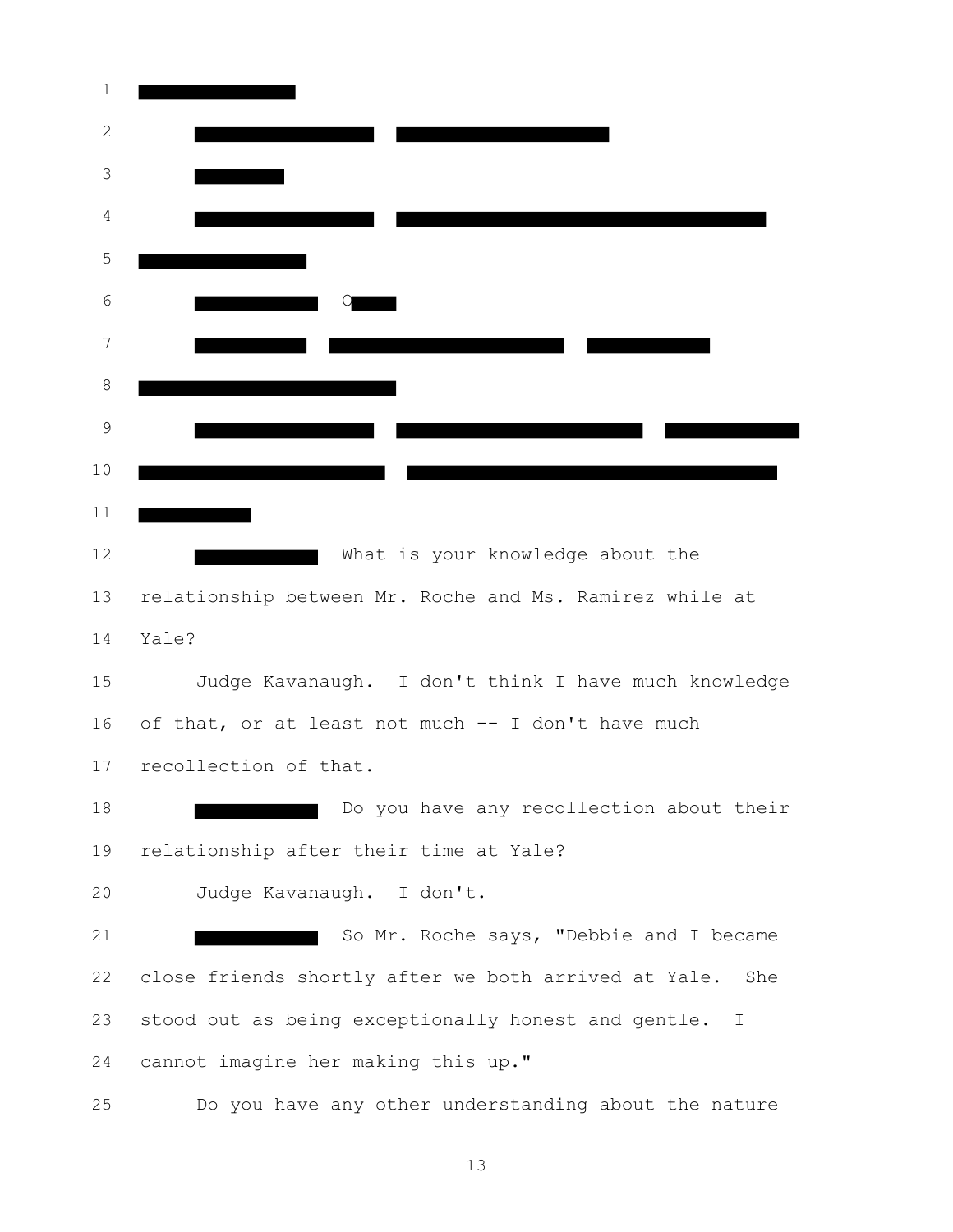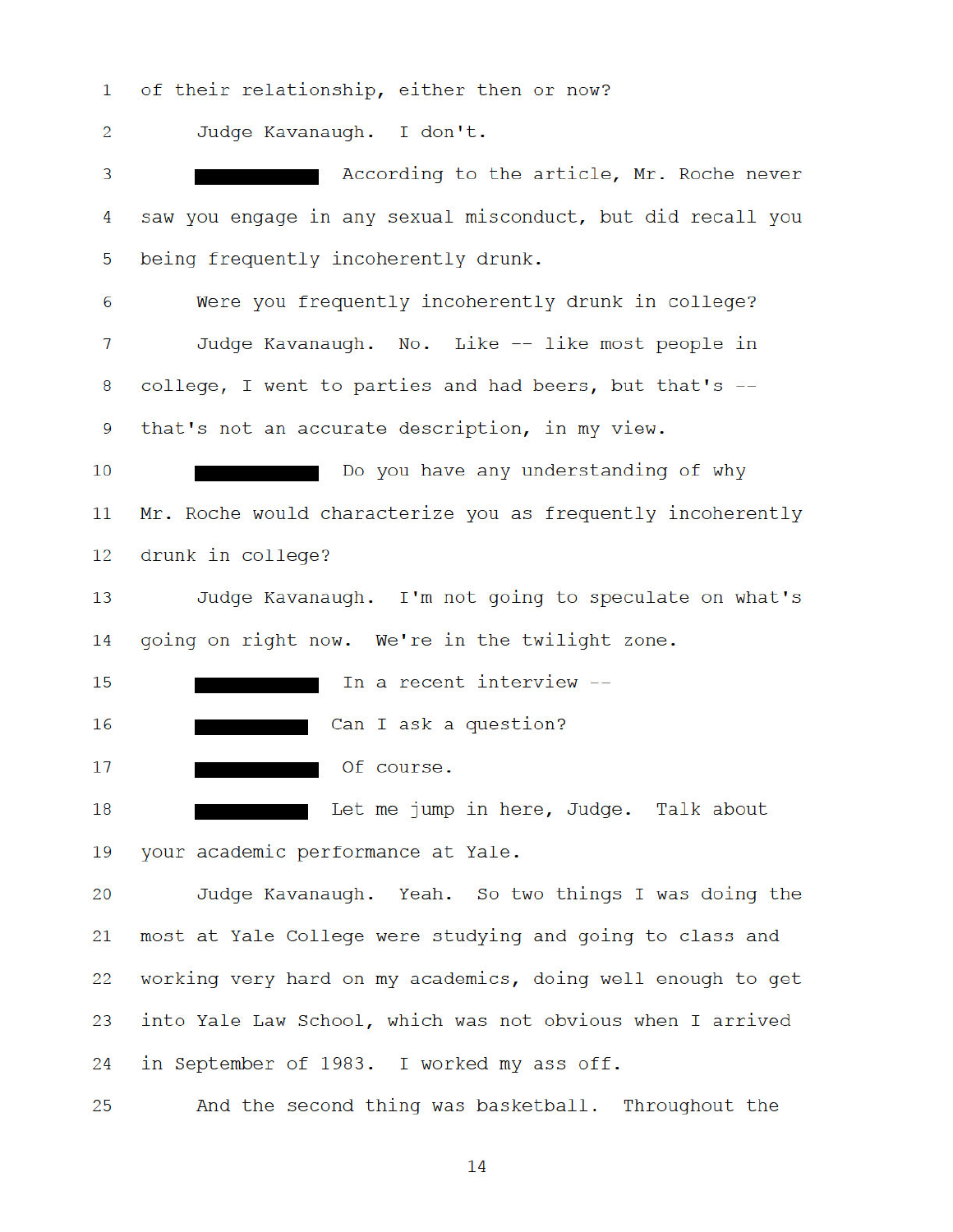of their relationship, either then or now?  $\mathbf{1}$ 

Judge Kavanaugh. I don't.  $\overline{2}$ 

According to the article, Mr. Roche never 3 saw you engage in any sexual misconduct, but did recall you  $\overline{4}$ 5 being frequently incoherently drunk.  $6\overline{6}$ Were you frequently incoherently drunk in college? Judge Kavanaugh. No. Like -- like most people in  $\overline{7}$ college, I went to parties and had beers, but that's -- $\boldsymbol{8}$ 

9 that's not an accurate description, in my view.

 $10$ Do you have any understanding of why  $11$ Mr. Roche would characterize you as frequently incoherently 12 drunk in college?

Judge Kavanaugh. I'm not going to speculate on what's 13 going on right now. We're in the twilight zone.  $14$ 

In a recent interview --15

16 Can I ask a question?

Of course. 17

Let me jump in here, Judge. Talk about 18 your academic performance at Yale. 19

 $20$ Judge Kavanaugh. Yeah. So two things I was doing the 21 most at Yale College were studying and going to class and working very hard on my academics, doing well enough to get 22 into Yale Law School, which was not obvious when I arrived 23 in September of 1983. I worked my ass off. 24

And the second thing was basketball. Throughout the 25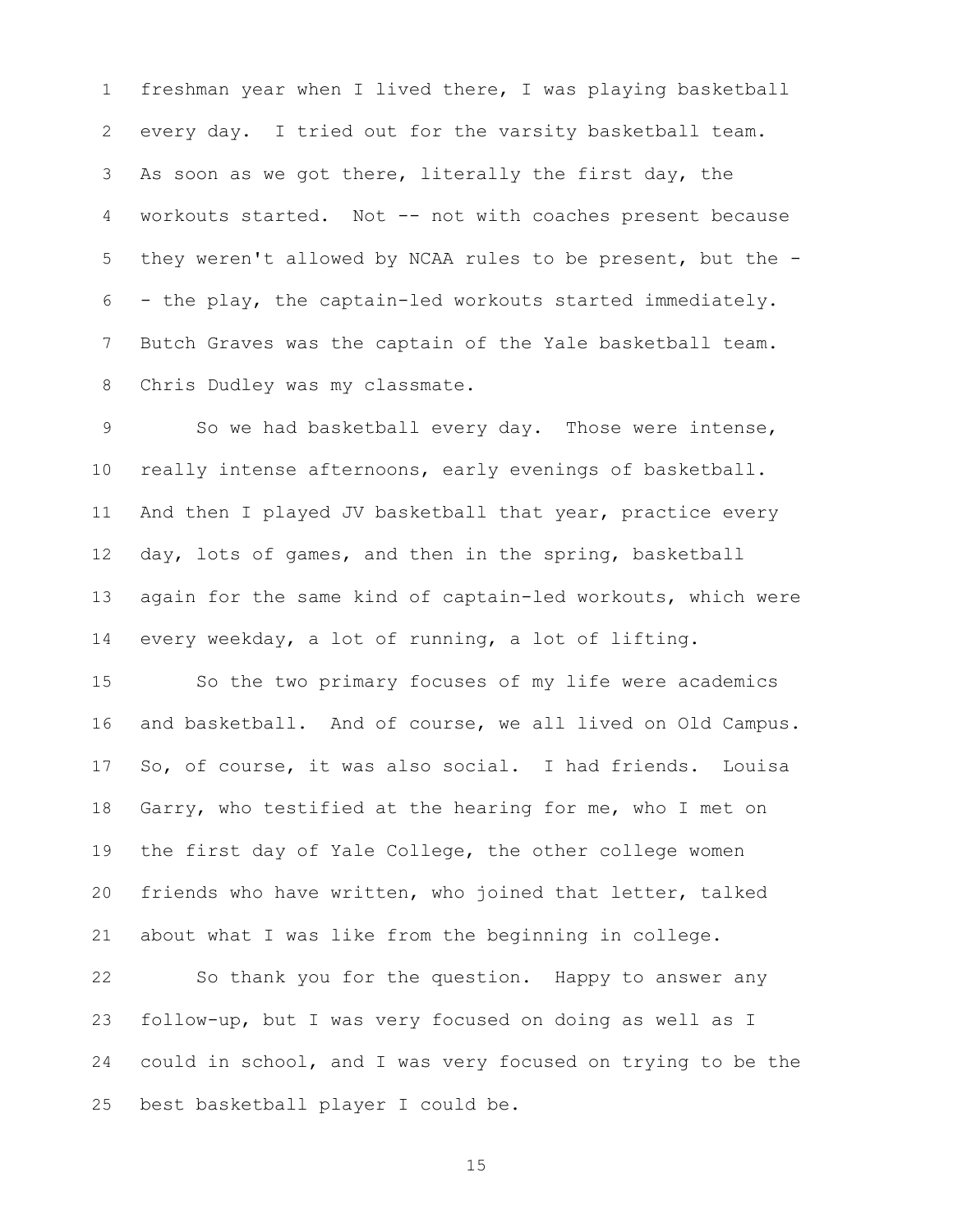freshman year when I lived there, I was playing basketball every day. I tried out for the varsity basketball team. As soon as we got there, literally the first day, the workouts started. Not -- not with coaches present because they weren't allowed by NCAA rules to be present, but the - - the play, the captain-led workouts started immediately. Butch Graves was the captain of the Yale basketball team. Chris Dudley was my classmate.

9 So we had basketball every day. Those were intense, really intense afternoons, early evenings of basketball. And then I played JV basketball that year, practice every day, lots of games, and then in the spring, basketball again for the same kind of captain-led workouts, which were every weekday, a lot of running, a lot of lifting.

 So the two primary focuses of my life were academics and basketball. And of course, we all lived on Old Campus. So, of course, it was also social. I had friends. Louisa Garry, who testified at the hearing for me, who I met on the first day of Yale College, the other college women friends who have written, who joined that letter, talked about what I was like from the beginning in college.

 So thank you for the question. Happy to answer any follow-up, but I was very focused on doing as well as I could in school, and I was very focused on trying to be the best basketball player I could be.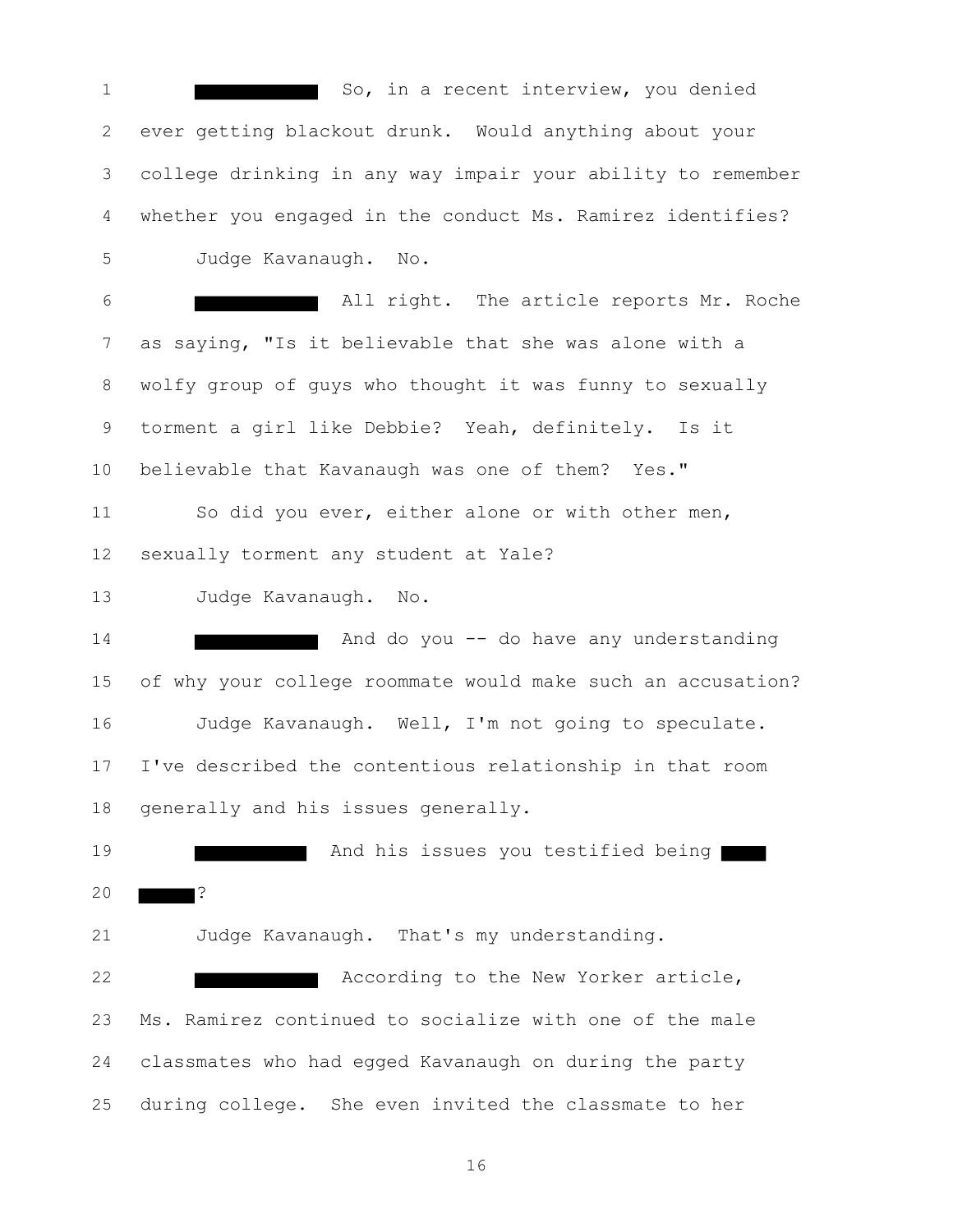1 So, in a recent interview, you denied ever getting blackout drunk. Would anything about your college drinking in any way impair your ability to remember whether you engaged in the conduct Ms. Ramirez identifies? Judge Kavanaugh. No. All right. The article reports Mr. Roche as saying, "Is it believable that she was alone with a wolfy group of guys who thought it was funny to sexually torment a girl like Debbie? Yeah, definitely. Is it believable that Kavanaugh was one of them? Yes." So did you ever, either alone or with other men, sexually torment any student at Yale? Judge Kavanaugh. No. And do you -- do have any understanding of why your college roommate would make such an accusation? Judge Kavanaugh. Well, I'm not going to speculate. I've described the contentious relationship in that room generally and his issues generally. **And his issues you testified being**  ? Judge Kavanaugh. That's my understanding. **According to the New Yorker article,**  Ms. Ramirez continued to socialize with one of the male classmates who had egged Kavanaugh on during the party during college. She even invited the classmate to her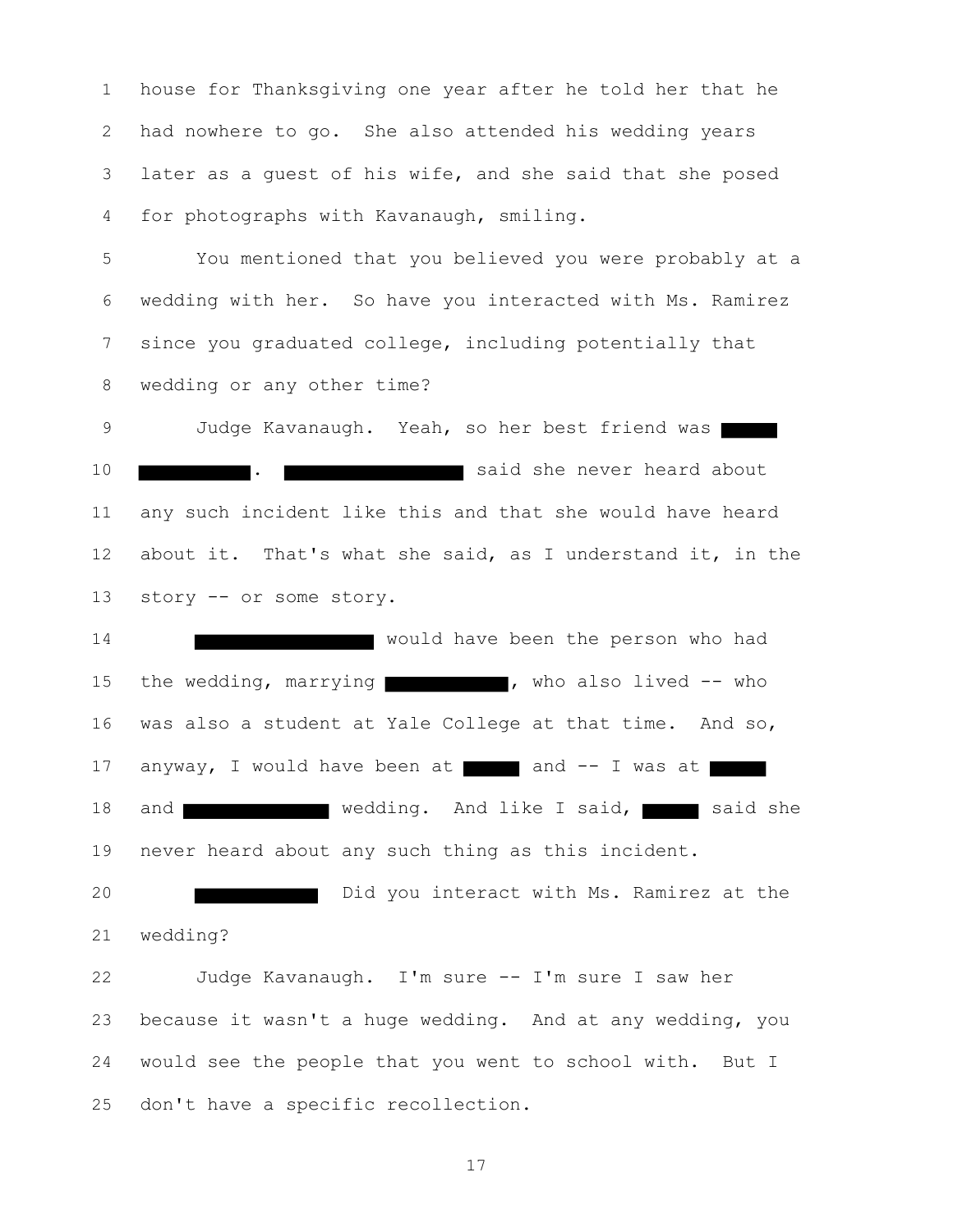house for Thanksgiving one year after he told her that he had nowhere to go. She also attended his wedding years later as a guest of his wife, and she said that she posed for photographs with Kavanaugh, smiling.

 You mentioned that you believed you were probably at a wedding with her. So have you interacted with Ms. Ramirez since you graduated college, including potentially that wedding or any other time?

9 Judge Kavanaugh. Yeah, so her best friend was **.** . **. . said she never heard about**  any such incident like this and that she would have heard about it. That's what she said, as I understand it, in the story -- or some story.

**Would have been the person who had** 15 the wedding, marrying who also lived -- who was also a student at Yale College at that time. And so, 17 anyway, I would have been at and -- I was at 18 and wedding. And like I said, said she never heard about any such thing as this incident.

**Did** you interact with Ms. Ramirez at the wedding?

 Judge Kavanaugh. I'm sure -- I'm sure I saw her because it wasn't a huge wedding. And at any wedding, you would see the people that you went to school with. But I don't have a specific recollection.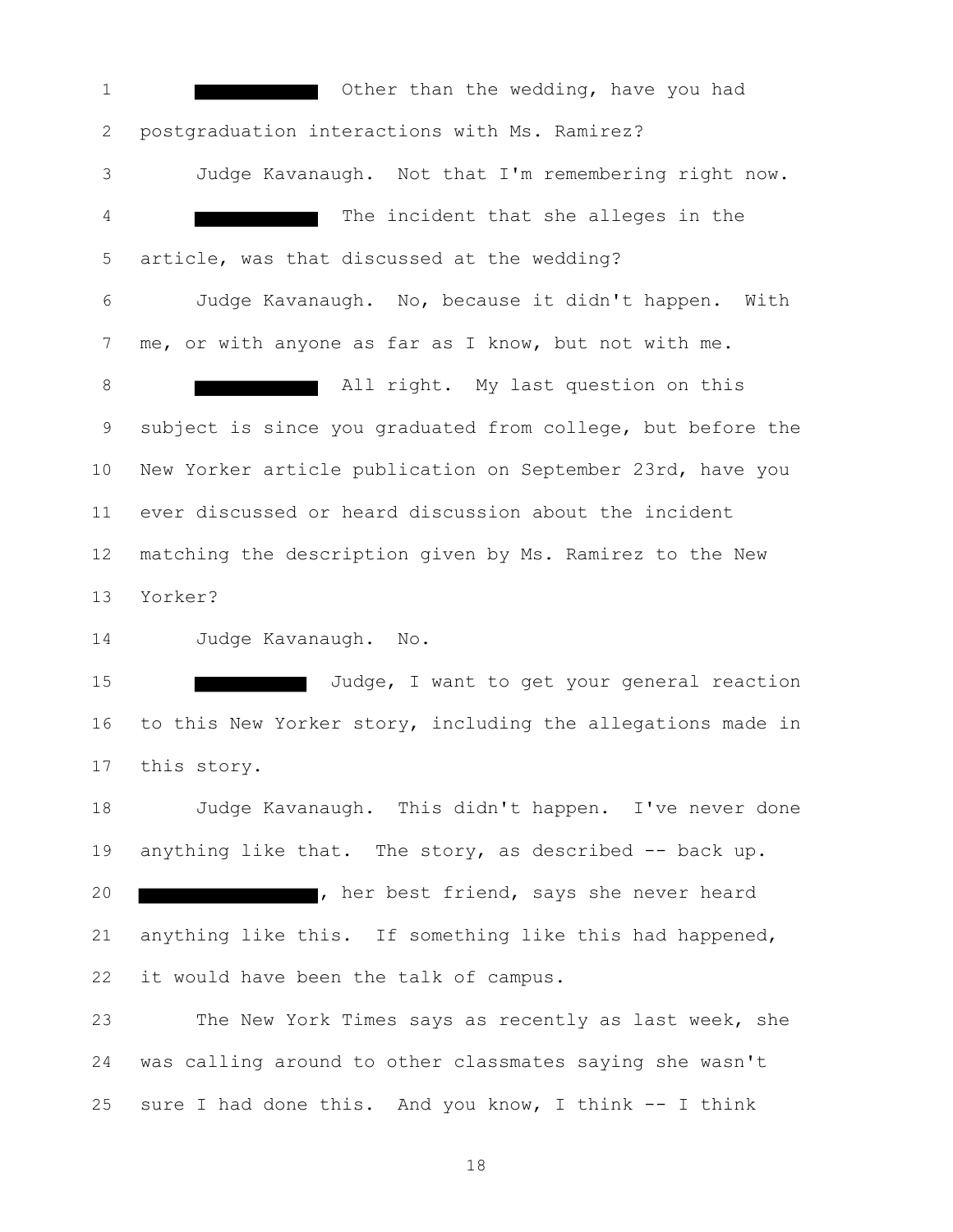**1** Other than the wedding, have you had postgraduation interactions with Ms. Ramirez? Judge Kavanaugh. Not that I'm remembering right now. The incident that she alleges in the article, was that discussed at the wedding? Judge Kavanaugh. No, because it didn't happen. With me, or with anyone as far as I know, but not with me. **B** All right. My last question on this subject is since you graduated from college, but before the New Yorker article publication on September 23rd, have you ever discussed or heard discussion about the incident matching the description given by Ms. Ramirez to the New Yorker? Judge Kavanaugh. No. **Interest I Judge, I want to get your general reaction** 16 to this New Yorker story, including the allegations made in this story. Judge Kavanaugh. This didn't happen. I've never done anything like that. The story, as described -- back up. **120 Million Market Friend, says she never heard**  anything like this. If something like this had happened, it would have been the talk of campus. The New York Times says as recently as last week, she was calling around to other classmates saying she wasn't

sure I had done this. And you know, I think -- I think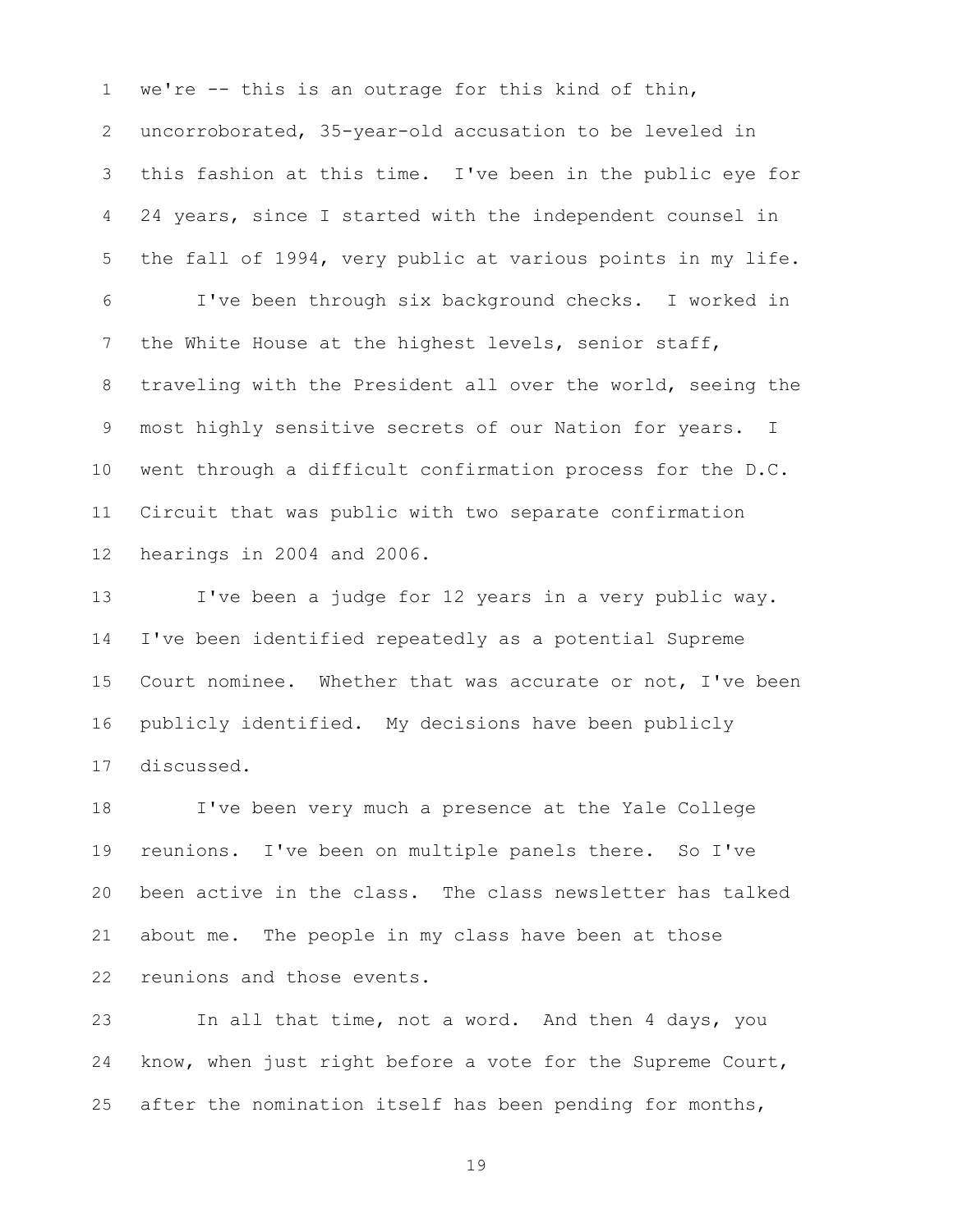we're -- this is an outrage for this kind of thin, uncorroborated, 35-year-old accusation to be leveled in this fashion at this time. I've been in the public eye for 24 years, since I started with the independent counsel in the fall of 1994, very public at various points in my life. I've been through six background checks. I worked in the White House at the highest levels, senior staff, traveling with the President all over the world, seeing the most highly sensitive secrets of our Nation for years. I went through a difficult confirmation process for the D.C. Circuit that was public with two separate confirmation hearings in 2004 and 2006.

 I've been a judge for 12 years in a very public way. I've been identified repeatedly as a potential Supreme Court nominee. Whether that was accurate or not, I've been publicly identified. My decisions have been publicly discussed.

 I've been very much a presence at the Yale College reunions. I've been on multiple panels there. So I've been active in the class. The class newsletter has talked about me. The people in my class have been at those reunions and those events.

 In all that time, not a word. And then 4 days, you know, when just right before a vote for the Supreme Court, after the nomination itself has been pending for months,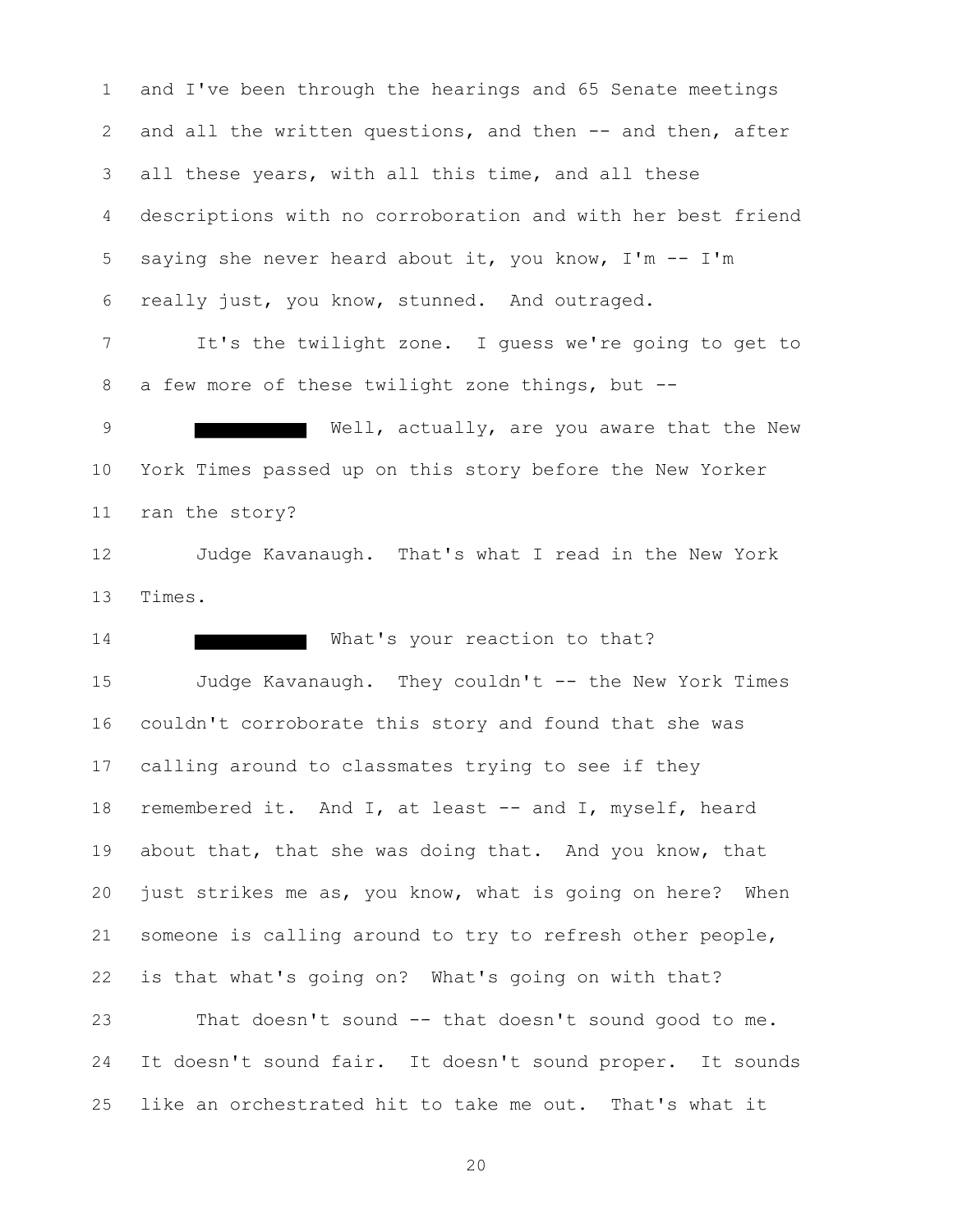and I've been through the hearings and 65 Senate meetings 2 and all the written questions, and then -- and then, after all these years, with all this time, and all these descriptions with no corroboration and with her best friend saying she never heard about it, you know, I'm -- I'm really just, you know, stunned. And outraged.

 It's the twilight zone. I guess we're going to get to a few more of these twilight zone things, but --

9 Well, actually, are you aware that the New York Times passed up on this story before the New Yorker ran the story?

 Judge Kavanaugh. That's what I read in the New York Times.

14 What's your reaction to that? Judge Kavanaugh. They couldn't -- the New York Times couldn't corroborate this story and found that she was calling around to classmates trying to see if they 18 remembered it. And I, at least -- and I, myself, heard about that, that she was doing that. And you know, that just strikes me as, you know, what is going on here? When someone is calling around to try to refresh other people, is that what's going on? What's going on with that? That doesn't sound -- that doesn't sound good to me. It doesn't sound fair. It doesn't sound proper. It sounds

like an orchestrated hit to take me out. That's what it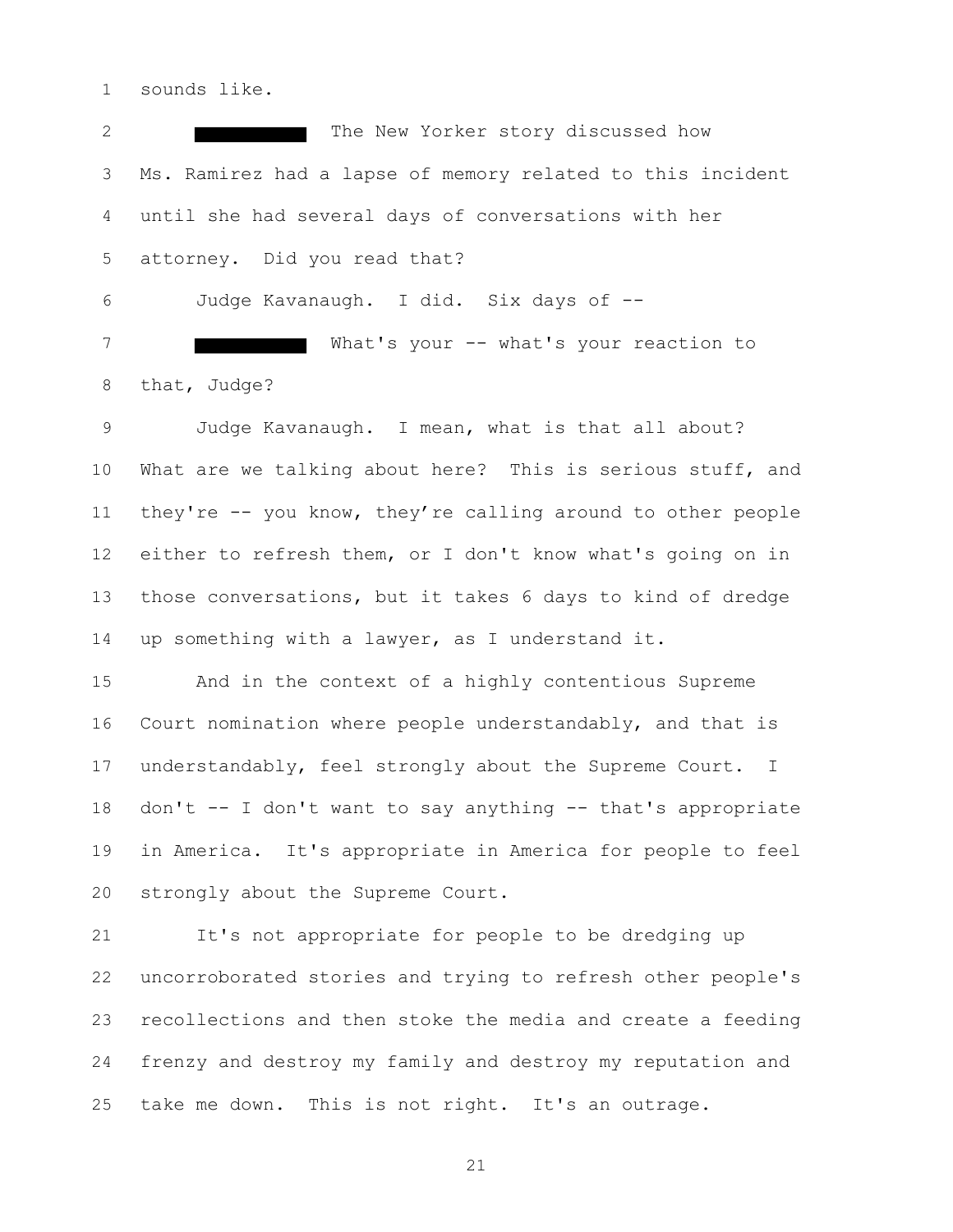sounds like.

2 The New Yorker story discussed how Ms. Ramirez had a lapse of memory related to this incident until she had several days of conversations with her attorney. Did you read that? Judge Kavanaugh. I did. Six days of --

7 What's your -- what's your reaction to that, Judge?

 Judge Kavanaugh. I mean, what is that all about? What are we talking about here? This is serious stuff, and they're -- you know, they're calling around to other people either to refresh them, or I don't know what's going on in those conversations, but it takes 6 days to kind of dredge up something with a lawyer, as I understand it.

 And in the context of a highly contentious Supreme Court nomination where people understandably, and that is understandably, feel strongly about the Supreme Court. I don't -- I don't want to say anything -- that's appropriate in America. It's appropriate in America for people to feel strongly about the Supreme Court.

 It's not appropriate for people to be dredging up uncorroborated stories and trying to refresh other people's recollections and then stoke the media and create a feeding frenzy and destroy my family and destroy my reputation and take me down. This is not right. It's an outrage.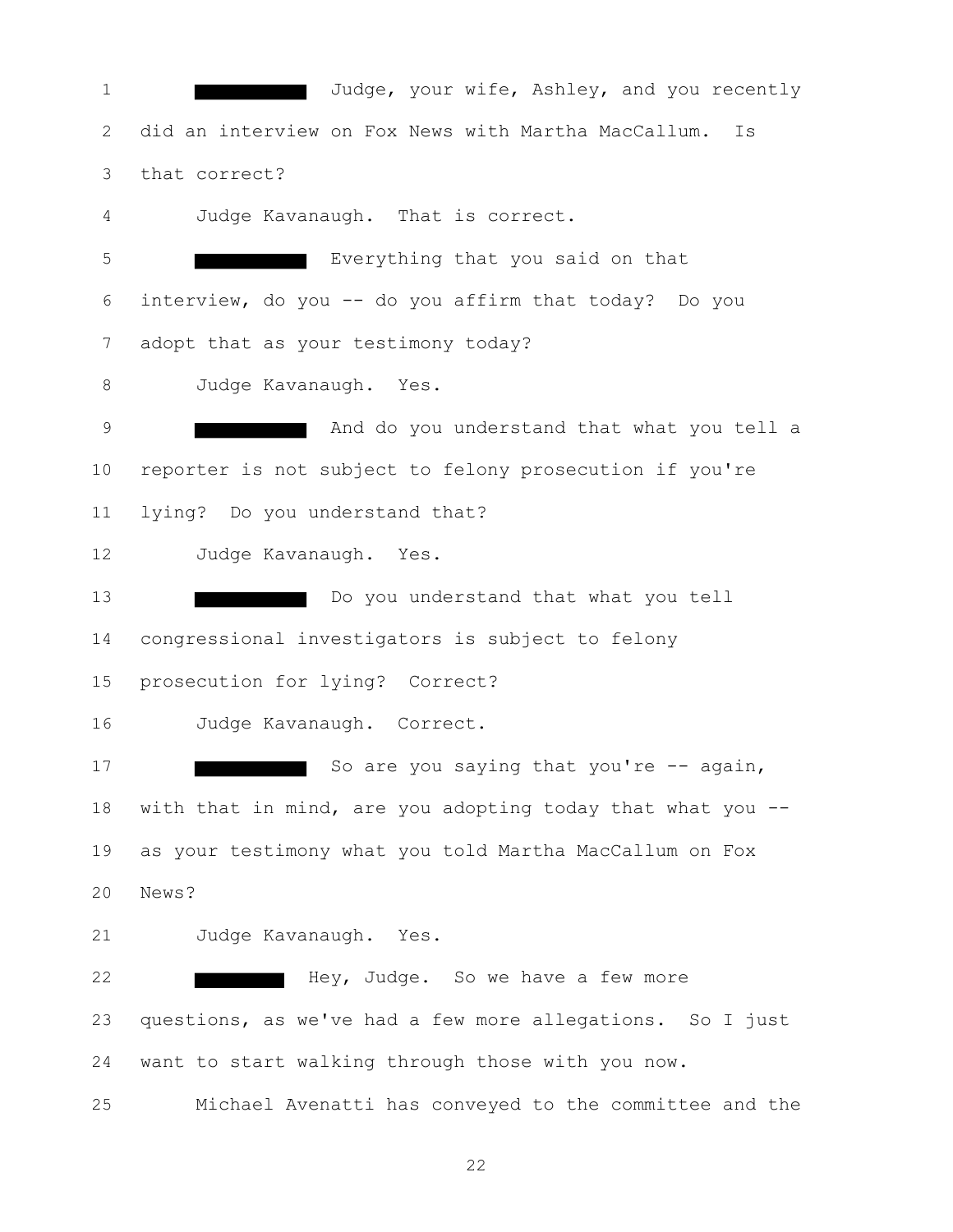1 Judge, your wife, Ashley, and you recently did an interview on Fox News with Martha MacCallum. Is that correct? Judge Kavanaugh. That is correct. Everything that you said on that interview, do you -- do you affirm that today? Do you adopt that as your testimony today? Judge Kavanaugh. Yes. **And do you understand that what you tell a**  reporter is not subject to felony prosecution if you're lying? Do you understand that? Judge Kavanaugh. Yes. Do you understand that what you tell congressional investigators is subject to felony prosecution for lying? Correct? Judge Kavanaugh. Correct. 17 So are you saying that you're -- again, with that in mind, are you adopting today that what you -- as your testimony what you told Martha MacCallum on Fox News? Judge Kavanaugh. Yes. **Hey, Judge.** So we have a few more questions, as we've had a few more allegations. So I just want to start walking through those with you now. Michael Avenatti has conveyed to the committee and the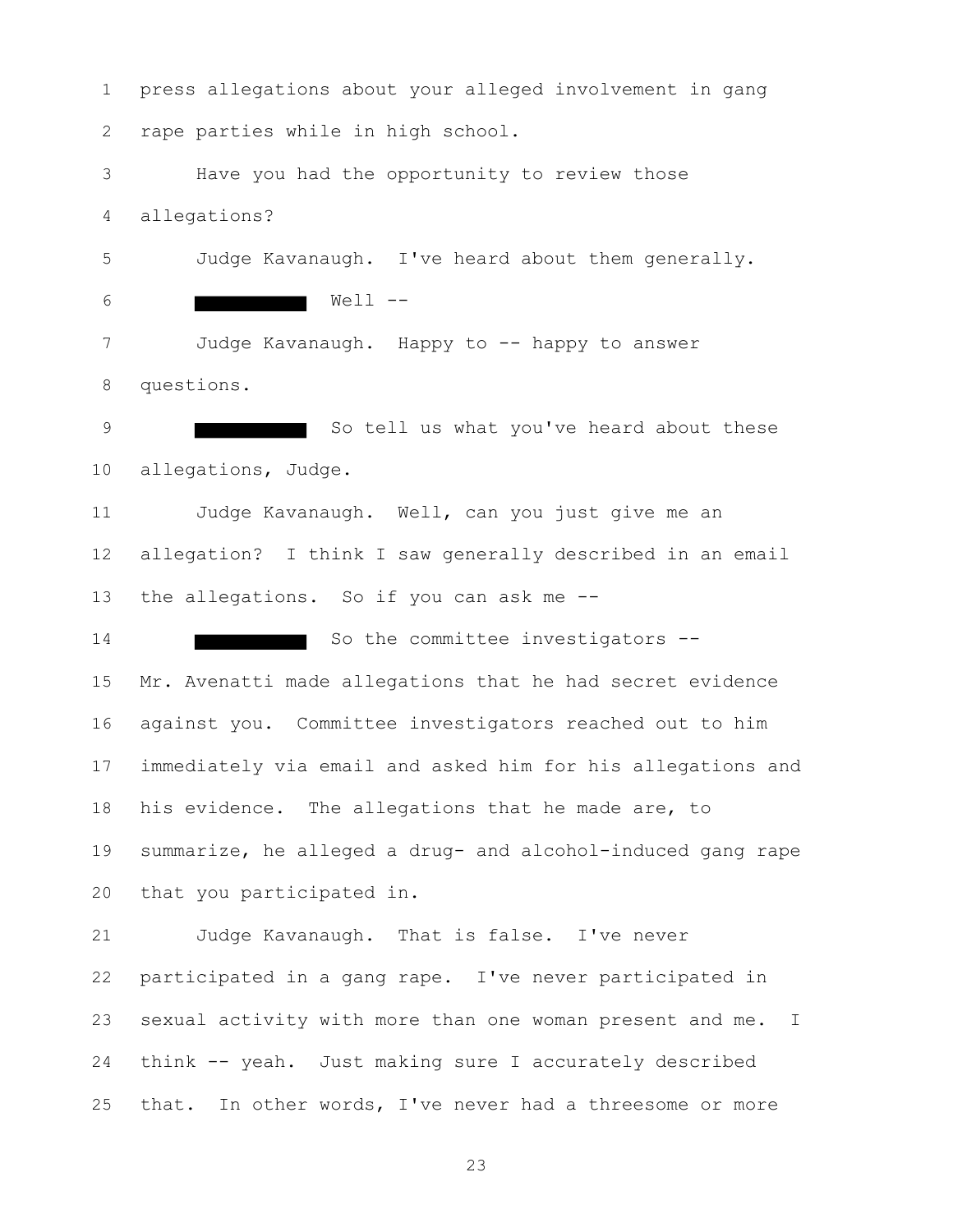press allegations about your alleged involvement in gang rape parties while in high school. Have you had the opportunity to review those allegations? Judge Kavanaugh. I've heard about them generally. 6 Well --7 Judge Kavanaugh. Happy to -- happy to answer questions. 9 So tell us what you've heard about these allegations, Judge. Judge Kavanaugh. Well, can you just give me an allegation? I think I saw generally described in an email 13 the allegations. So if you can ask me --14 So the committee investigators -- Mr. Avenatti made allegations that he had secret evidence against you. Committee investigators reached out to him immediately via email and asked him for his allegations and his evidence. The allegations that he made are, to summarize, he alleged a drug- and alcohol-induced gang rape that you participated in. Judge Kavanaugh. That is false. I've never participated in a gang rape. I've never participated in sexual activity with more than one woman present and me. I think -- yeah. Just making sure I accurately described that. In other words, I've never had a threesome or more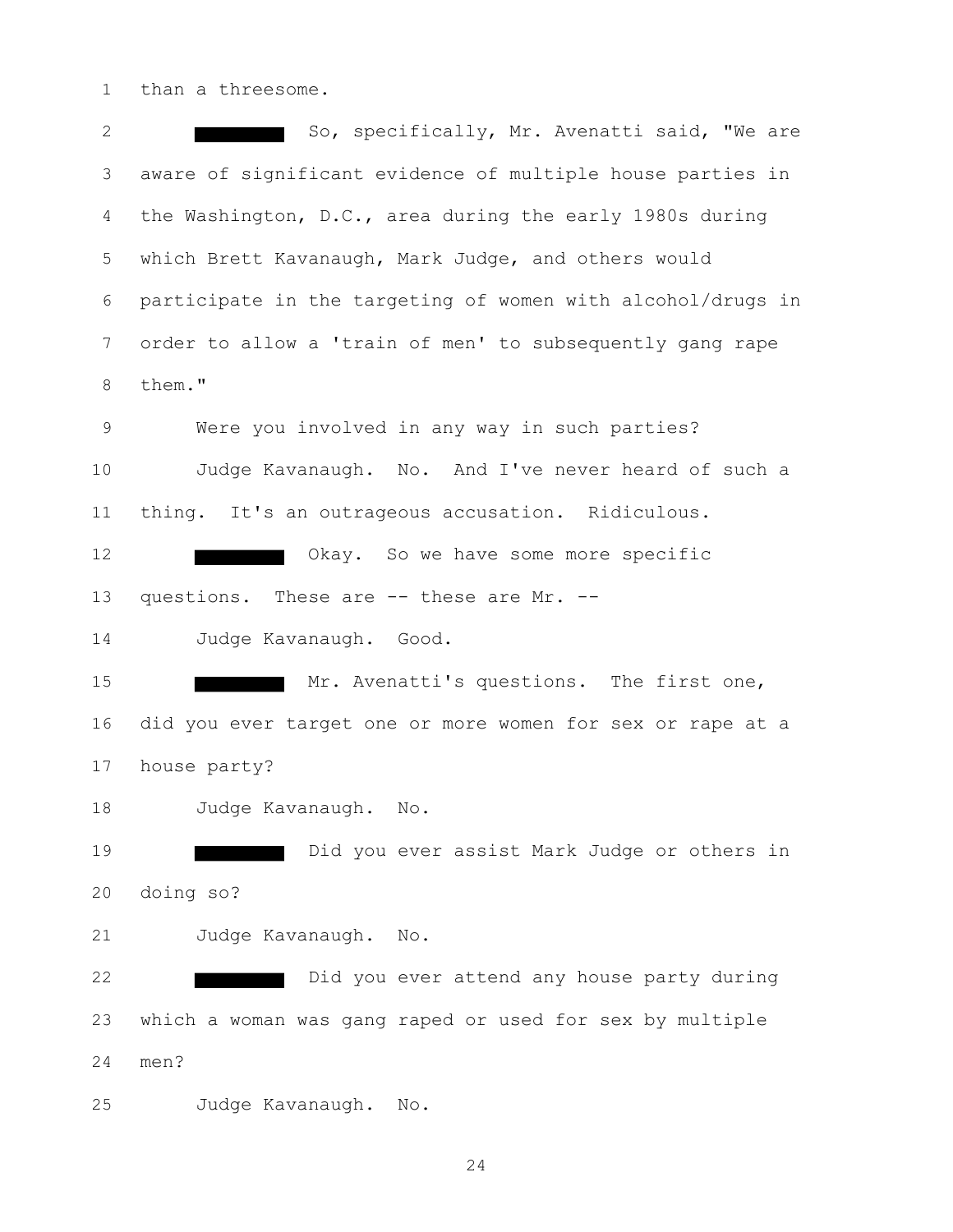than a threesome.

2 So, specifically, Mr. Avenatti said, "We are aware of significant evidence of multiple house parties in the Washington, D.C., area during the early 1980s during which Brett Kavanaugh, Mark Judge, and others would participate in the targeting of women with alcohol/drugs in order to allow a 'train of men' to subsequently gang rape them." Were you involved in any way in such parties? Judge Kavanaugh. No. And I've never heard of such a thing. It's an outrageous accusation. Ridiculous. 12 Okay. So we have some more specific questions. These are -- these are Mr. -- Judge Kavanaugh. Good. 15 Mr. Avenatti's questions. The first one, did you ever target one or more women for sex or rape at a house party? Judge Kavanaugh. No. **Did you ever assist Mark Judge or others in**  doing so? Judge Kavanaugh. No. **Did you ever attend any house party during**  which a woman was gang raped or used for sex by multiple men? Judge Kavanaugh. No.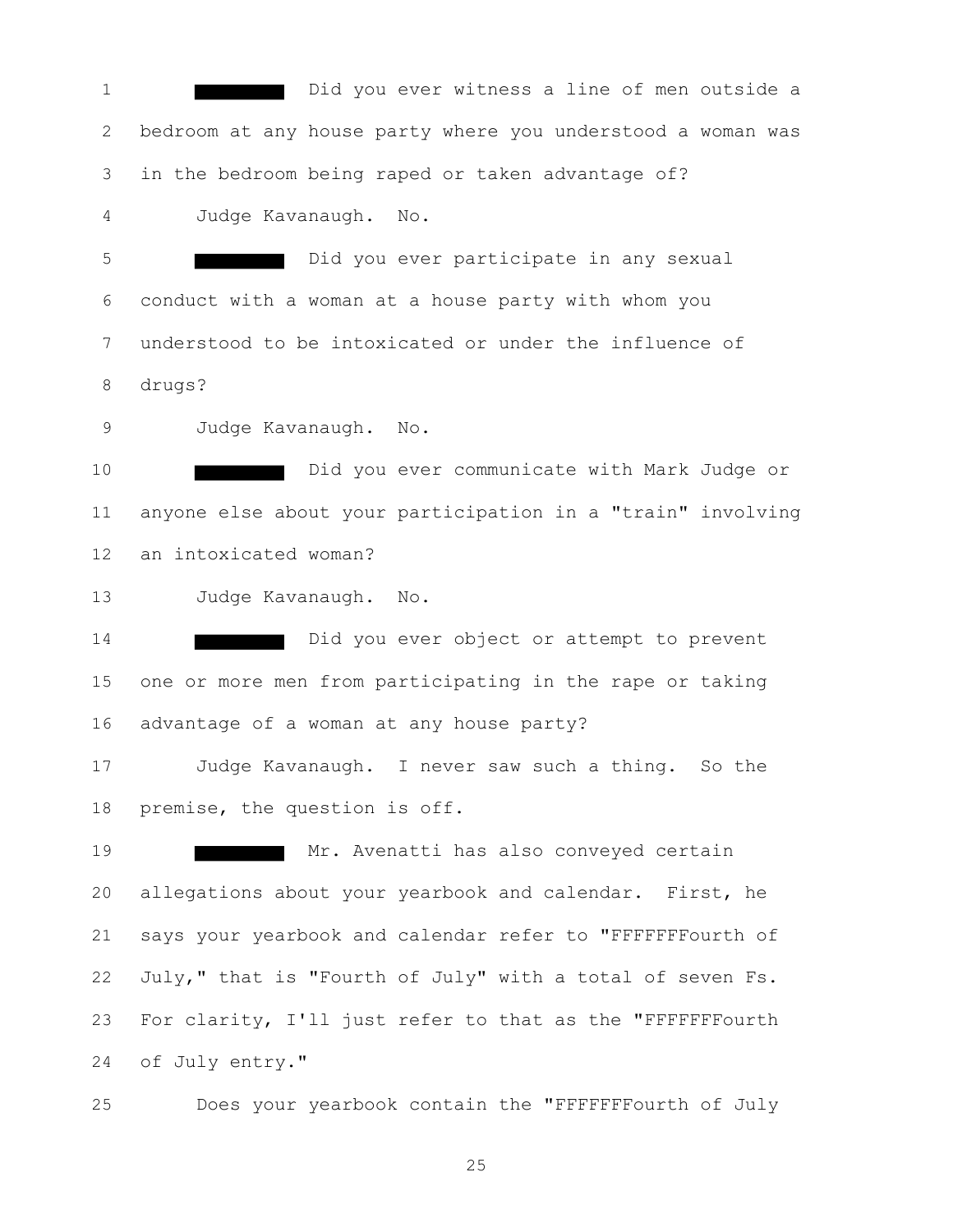Did you ever witness a line of men outside a bedroom at any house party where you understood a woman was in the bedroom being raped or taken advantage of? Judge Kavanaugh. No. Did you ever participate in any sexual conduct with a woman at a house party with whom you understood to be intoxicated or under the influence of drugs? Judge Kavanaugh. No. Did you ever communicate with Mark Judge or anyone else about your participation in a "train" involving an intoxicated woman? Judge Kavanaugh. No. **Did you ever object or attempt to prevent**  one or more men from participating in the rape or taking advantage of a woman at any house party? Judge Kavanaugh. I never saw such a thing. So the premise, the question is off. 19 Mr. Avenatti has also conveyed certain allegations about your yearbook and calendar. First, he says your yearbook and calendar refer to "FFFFFFFourth of July," that is "Fourth of July" with a total of seven Fs. For clarity, I'll just refer to that as the "FFFFFFFourth of July entry."

Does your yearbook contain the "FFFFFFFourth of July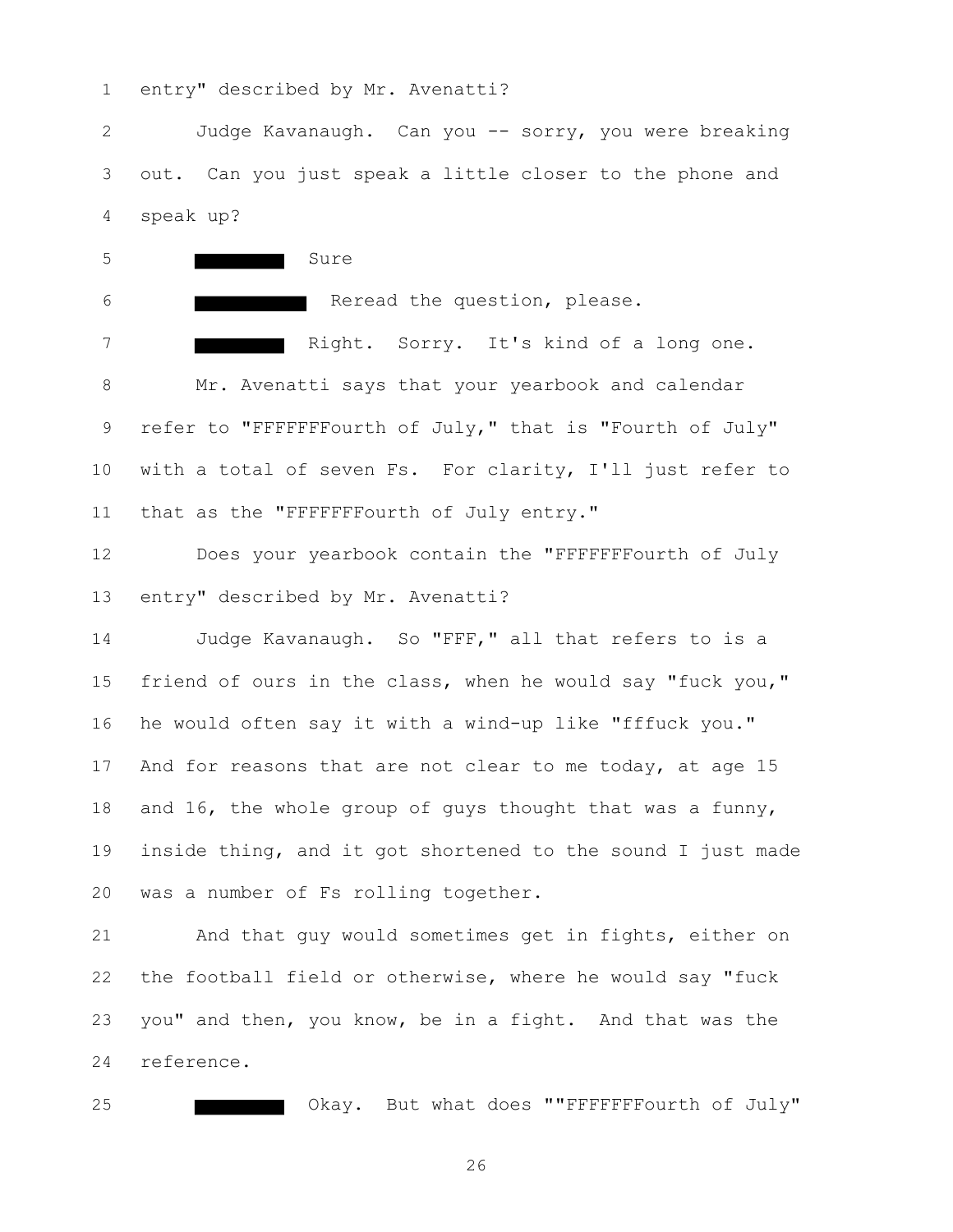entry" described by Mr. Avenatti?

 Judge Kavanaugh. Can you -- sorry, you were breaking out. Can you just speak a little closer to the phone and speak up?

5 Sure Reread the question, please. Right. Sorry. It's kind of a long one. Mr. Avenatti says that your yearbook and calendar refer to "FFFFFFFourth of July," that is "Fourth of July" with a total of seven Fs. For clarity, I'll just refer to 11 that as the "FFFFFFFourth of July entry."

 Does your yearbook contain the "FFFFFFFourth of July entry" described by Mr. Avenatti?

 Judge Kavanaugh. So "FFF," all that refers to is a friend of ours in the class, when he would say "fuck you," he would often say it with a wind-up like "fffuck you." And for reasons that are not clear to me today, at age 15 and 16, the whole group of guys thought that was a funny, inside thing, and it got shortened to the sound I just made was a number of Fs rolling together.

 And that guy would sometimes get in fights, either on the football field or otherwise, where he would say "fuck you" and then, you know, be in a fight. And that was the reference.

**CHACK CORAGES** Okay. But what does ""FFFFFFFFourth of July"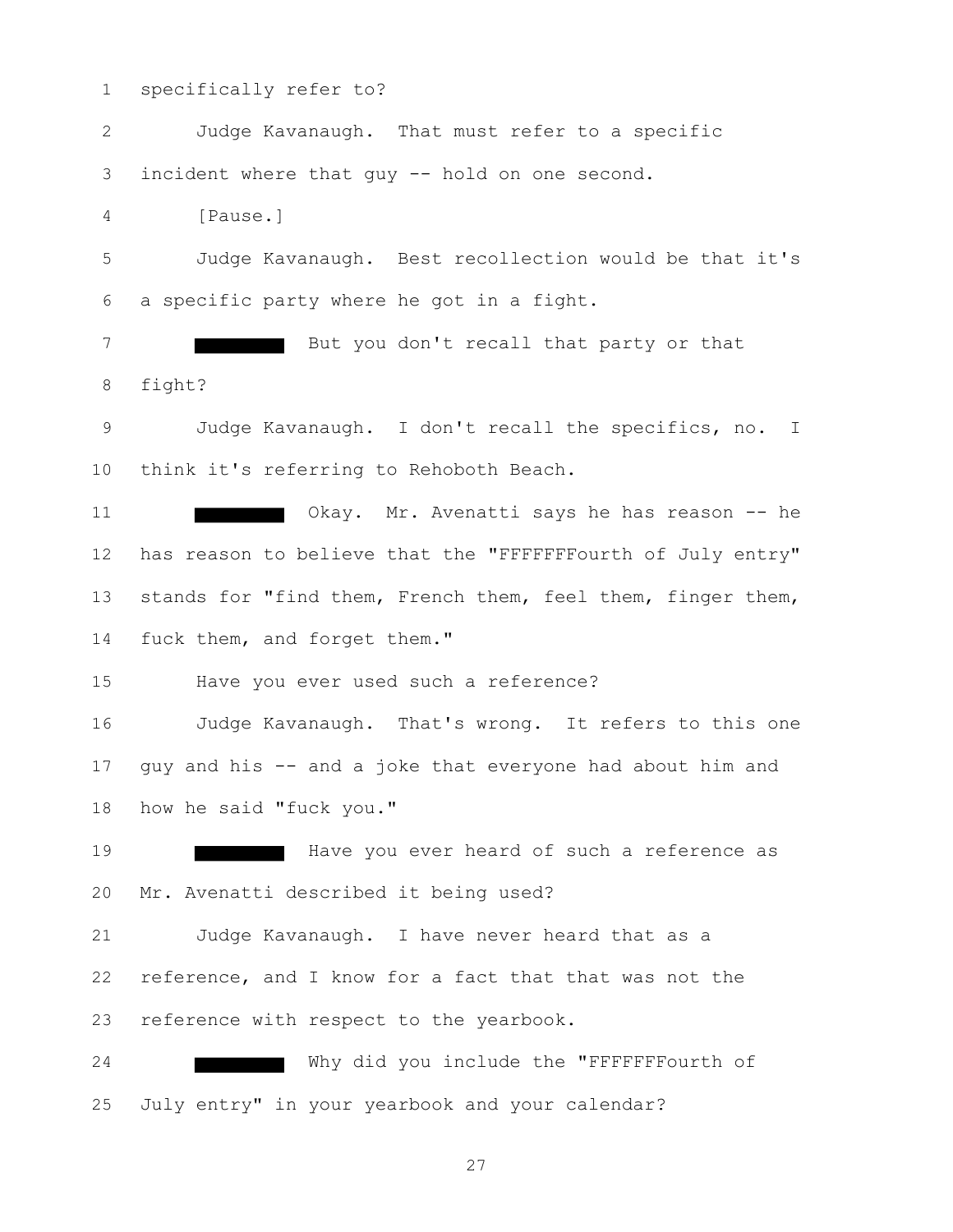specifically refer to? Judge Kavanaugh. That must refer to a specific incident where that guy -- hold on one second. [Pause.] Judge Kavanaugh. Best recollection would be that it's a specific party where he got in a fight. 7 But you don't recall that party or that fight? Judge Kavanaugh. I don't recall the specifics, no. I think it's referring to Rehoboth Beach. 11 Okay. Mr. Avenatti says he has reason -- he 12 has reason to believe that the "FFFFFFFourth of July entry" stands for "find them, French them, feel them, finger them, 14 fuck them, and forget them." Have you ever used such a reference? Judge Kavanaugh. That's wrong. It refers to this one guy and his -- and a joke that everyone had about him and how he said "fuck you." **Have you ever heard of such a reference as**  Mr. Avenatti described it being used? Judge Kavanaugh. I have never heard that as a reference, and I know for a fact that that was not the reference with respect to the yearbook. 24 Why did you include the "FFFFFFFFourth of July entry" in your yearbook and your calendar?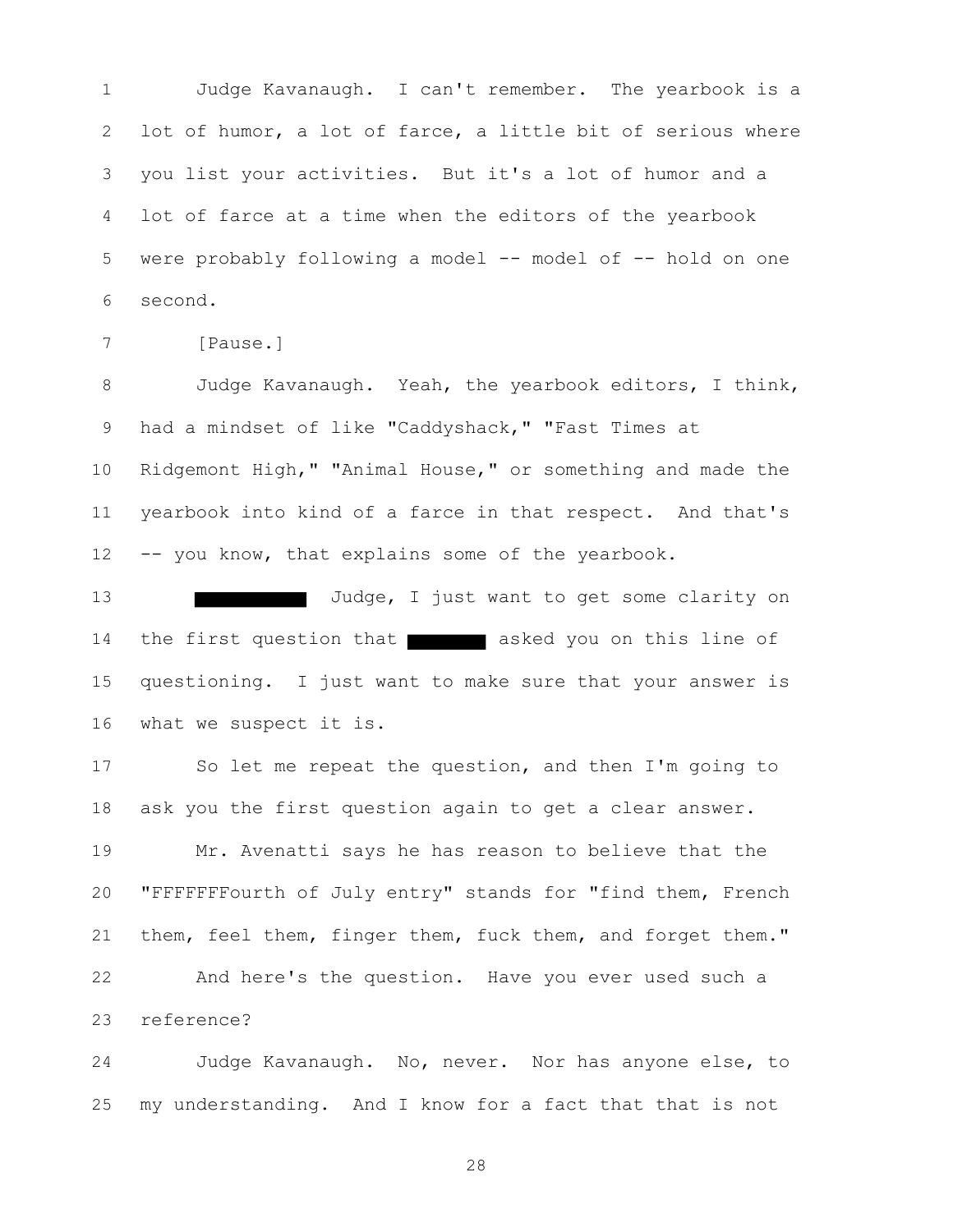Judge Kavanaugh. I can't remember. The yearbook is a lot of humor, a lot of farce, a little bit of serious where you list your activities. But it's a lot of humor and a lot of farce at a time when the editors of the yearbook were probably following a model -- model of -- hold on one second.

```
7 [Pause.]
```
 Judge Kavanaugh. Yeah, the yearbook editors, I think, had a mindset of like "Caddyshack," "Fast Times at Ridgemont High," "Animal House," or something and made the yearbook into kind of a farce in that respect. And that's -- you know, that explains some of the yearbook.

13 Judge, I just want to get some clarity on 14 the first question that asked you on this line of questioning. I just want to make sure that your answer is what we suspect it is.

 So let me repeat the question, and then I'm going to ask you the first question again to get a clear answer.

 Mr. Avenatti says he has reason to believe that the "FFFFFFFourth of July entry" stands for "find them, French them, feel them, finger them, fuck them, and forget them." And here's the question. Have you ever used such a reference?

 Judge Kavanaugh. No, never. Nor has anyone else, to my understanding. And I know for a fact that that is not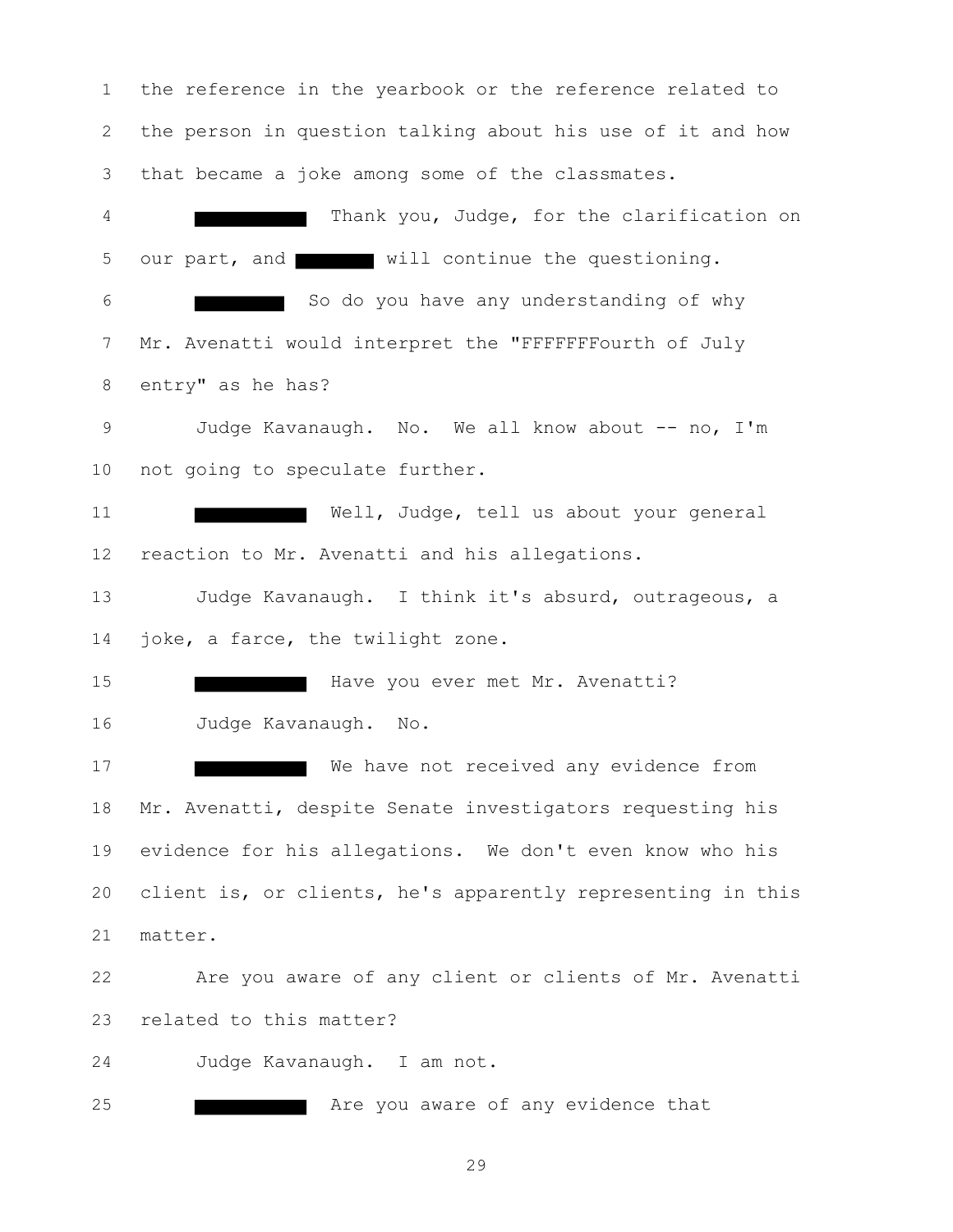the reference in the yearbook or the reference related to the person in question talking about his use of it and how that became a joke among some of the classmates. Thank you, Judge, for the clarification on 5 our part, and will continue the questioning. So do you have any understanding of why Mr. Avenatti would interpret the "FFFFFFFourth of July entry" as he has? 9 Judge Kavanaugh. No. We all know about -- no, I'm not going to speculate further. 11 Well, Judge, tell us about your general reaction to Mr. Avenatti and his allegations. Judge Kavanaugh. I think it's absurd, outrageous, a 14 joke, a farce, the twilight zone. Have you ever met Mr. Avenatti? Judge Kavanaugh. No. 17 We have not received any evidence from Mr. Avenatti, despite Senate investigators requesting his evidence for his allegations. We don't even know who his client is, or clients, he's apparently representing in this matter. Are you aware of any client or clients of Mr. Avenatti related to this matter? Judge Kavanaugh. I am not. **Are you aware of any evidence that**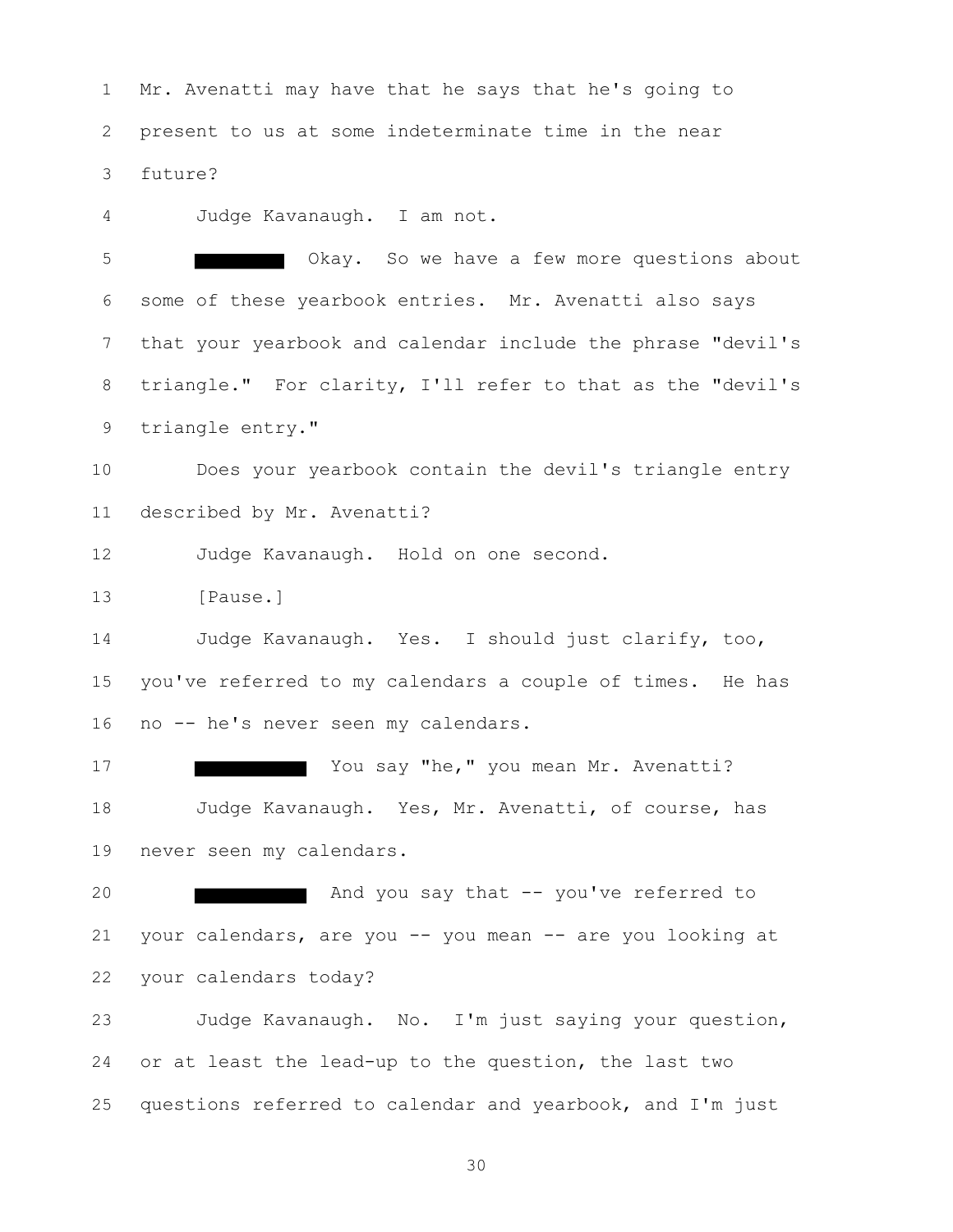Mr. Avenatti may have that he says that he's going to present to us at some indeterminate time in the near future?

Judge Kavanaugh. I am not.

 Okay. So we have a few more questions about some of these yearbook entries. Mr. Avenatti also says that your yearbook and calendar include the phrase "devil's triangle." For clarity, I'll refer to that as the "devil's triangle entry."

 Does your yearbook contain the devil's triangle entry described by Mr. Avenatti?

Judge Kavanaugh. Hold on one second.

[Pause.]

 Judge Kavanaugh. Yes. I should just clarify, too, you've referred to my calendars a couple of times. He has no -- he's never seen my calendars.

17 Marriet 17 Marriet 2011 Say "he," you mean Mr. Avenatti? Judge Kavanaugh. Yes, Mr. Avenatti, of course, has never seen my calendars.

**And you say that -- you've referred to**  your calendars, are you -- you mean -- are you looking at your calendars today?

 Judge Kavanaugh. No. I'm just saying your question, or at least the lead-up to the question, the last two questions referred to calendar and yearbook, and I'm just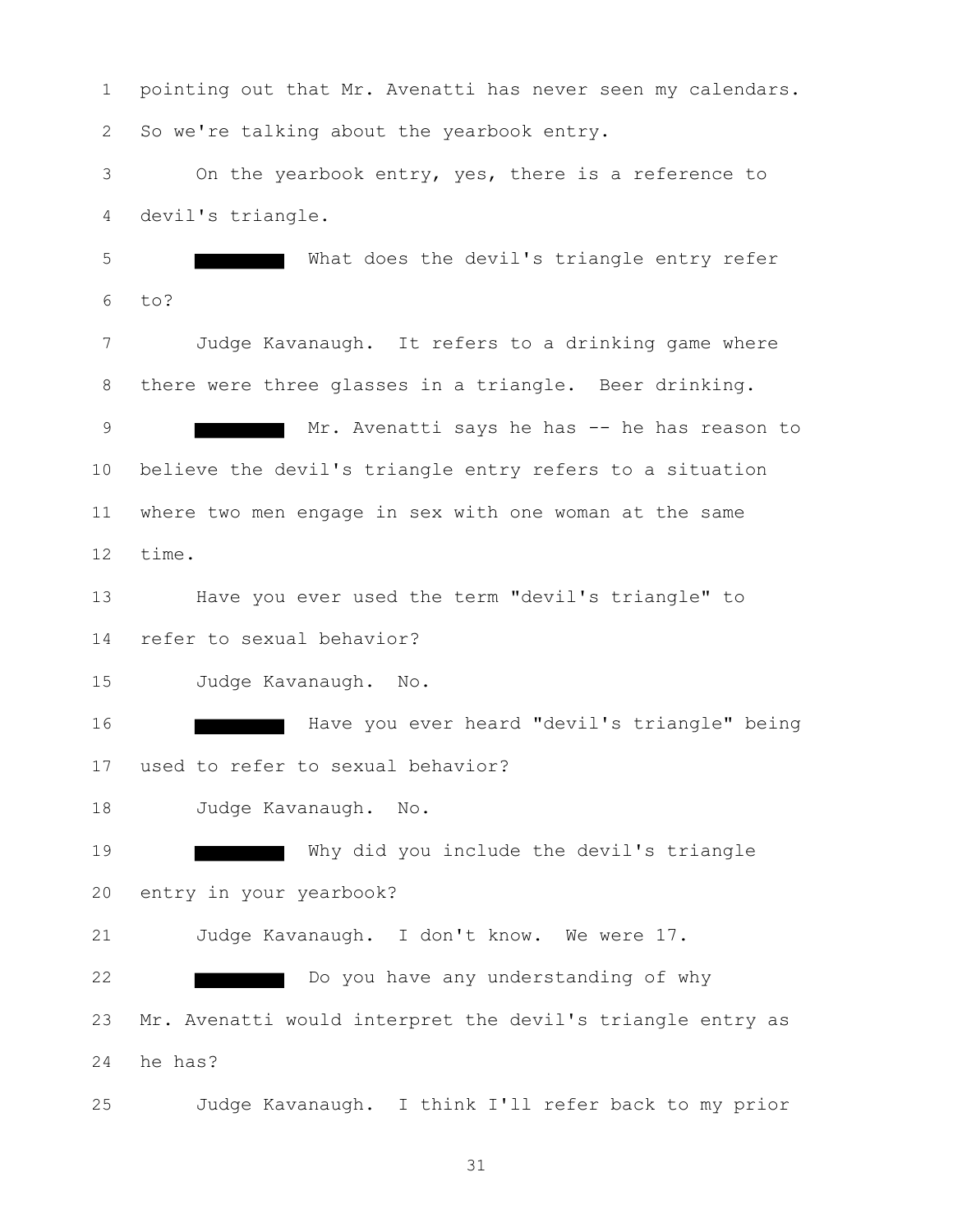pointing out that Mr. Avenatti has never seen my calendars. So we're talking about the yearbook entry. On the yearbook entry, yes, there is a reference to devil's triangle. What does the devil's triangle entry refer to? Judge Kavanaugh. It refers to a drinking game where there were three glasses in a triangle. Beer drinking. 9 Mr. Avenatti says he has -- he has reason to believe the devil's triangle entry refers to a situation where two men engage in sex with one woman at the same time. Have you ever used the term "devil's triangle" to refer to sexual behavior? Judge Kavanaugh. No. 16 Have you ever heard "devil's triangle" being used to refer to sexual behavior? Judge Kavanaugh. No. Why did you include the devil's triangle entry in your yearbook? Judge Kavanaugh. I don't know. We were 17. Do you have any understanding of why Mr. Avenatti would interpret the devil's triangle entry as he has? Judge Kavanaugh. I think I'll refer back to my prior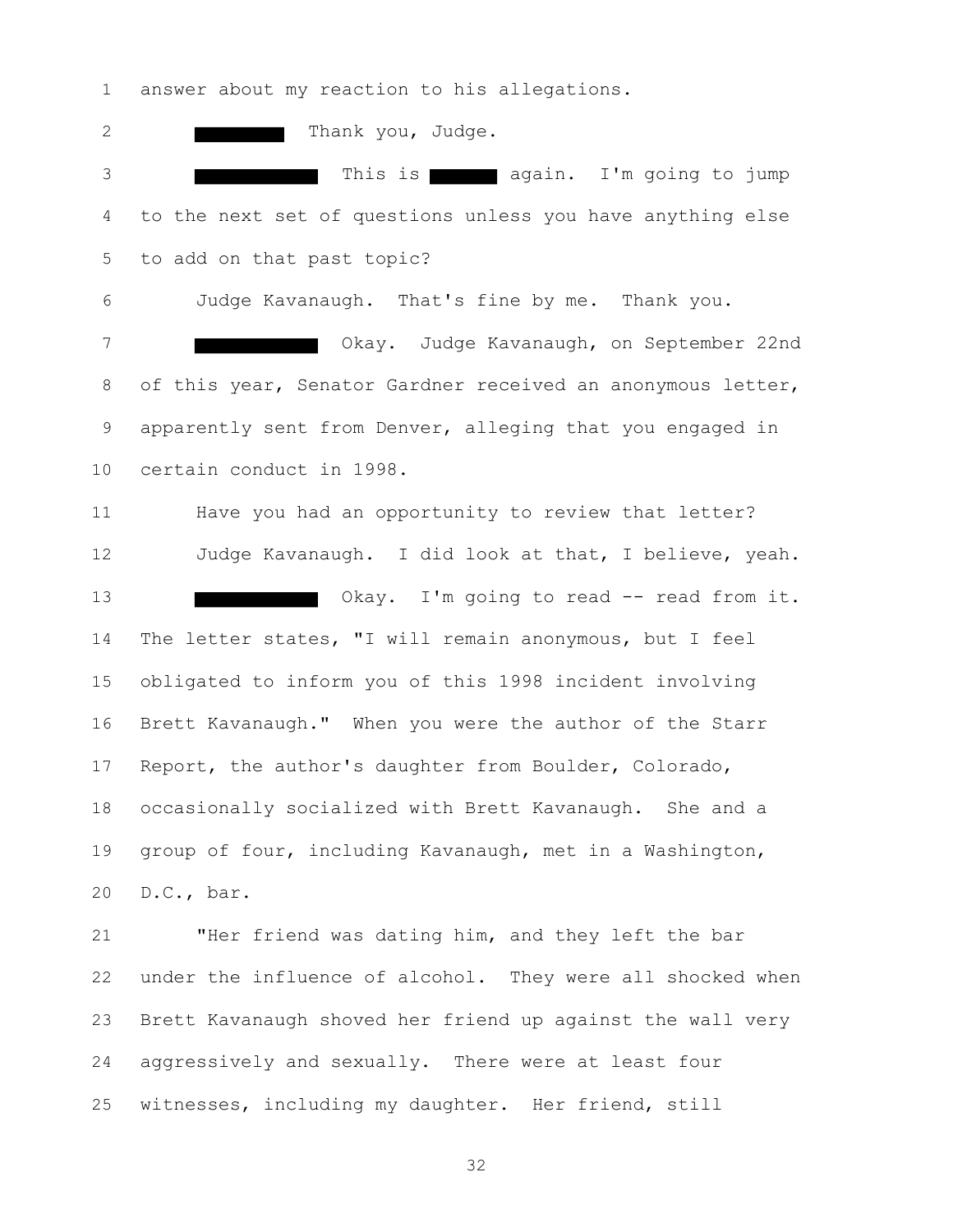answer about my reaction to his allegations.

2 Thank you, Judge. 3 This is again. I'm going to jump to the next set of questions unless you have anything else to add on that past topic? Judge Kavanaugh. That's fine by me. Thank you. Okay. Judge Kavanaugh, on September 22nd 8 of this year, Senator Gardner received an anonymous letter, apparently sent from Denver, alleging that you engaged in certain conduct in 1998. Have you had an opportunity to review that letter? Judge Kavanaugh. I did look at that, I believe, yeah. 13 Okay. I'm going to read -- read from it. The letter states, "I will remain anonymous, but I feel obligated to inform you of this 1998 incident involving Brett Kavanaugh." When you were the author of the Starr Report, the author's daughter from Boulder, Colorado, occasionally socialized with Brett Kavanaugh. She and a group of four, including Kavanaugh, met in a Washington, D.C., bar. "Her friend was dating him, and they left the bar under the influence of alcohol. They were all shocked when Brett Kavanaugh shoved her friend up against the wall very

 aggressively and sexually. There were at least four witnesses, including my daughter. Her friend, still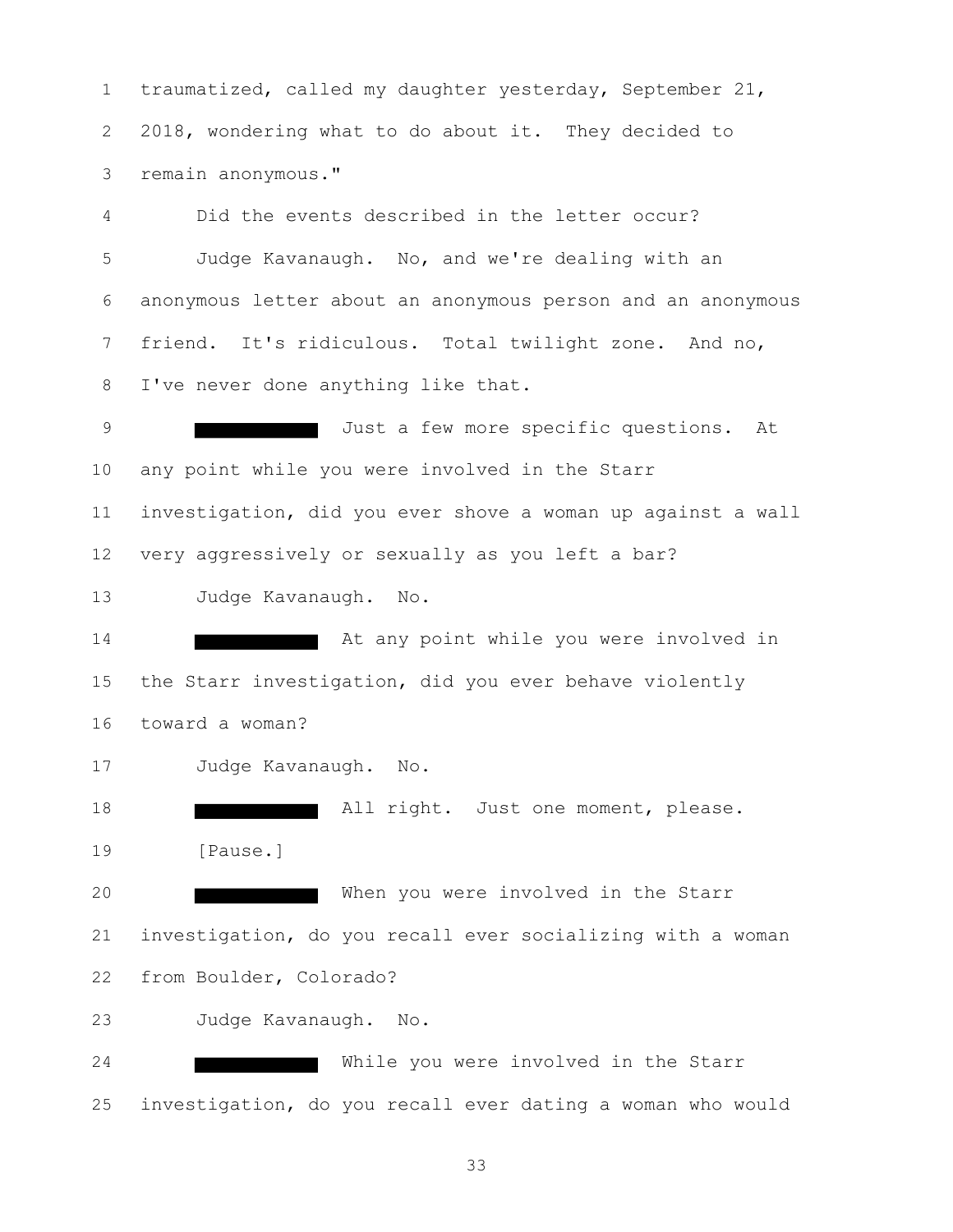traumatized, called my daughter yesterday, September 21, 2018, wondering what to do about it. They decided to remain anonymous."

 Did the events described in the letter occur? Judge Kavanaugh. No, and we're dealing with an anonymous letter about an anonymous person and an anonymous friend. It's ridiculous. Total twilight zone. And no, I've never done anything like that.

 Just a few more specific questions. At any point while you were involved in the Starr investigation, did you ever shove a woman up against a wall very aggressively or sexually as you left a bar? Judge Kavanaugh. No.

**At any point while you were involved in**  the Starr investigation, did you ever behave violently toward a woman?

Judge Kavanaugh. No.

**All right.** Just one moment, please. [Pause.]

20 When you were involved in the Starr investigation, do you recall ever socializing with a woman from Boulder, Colorado?

Judge Kavanaugh. No.

24 While you were involved in the Starr investigation, do you recall ever dating a woman who would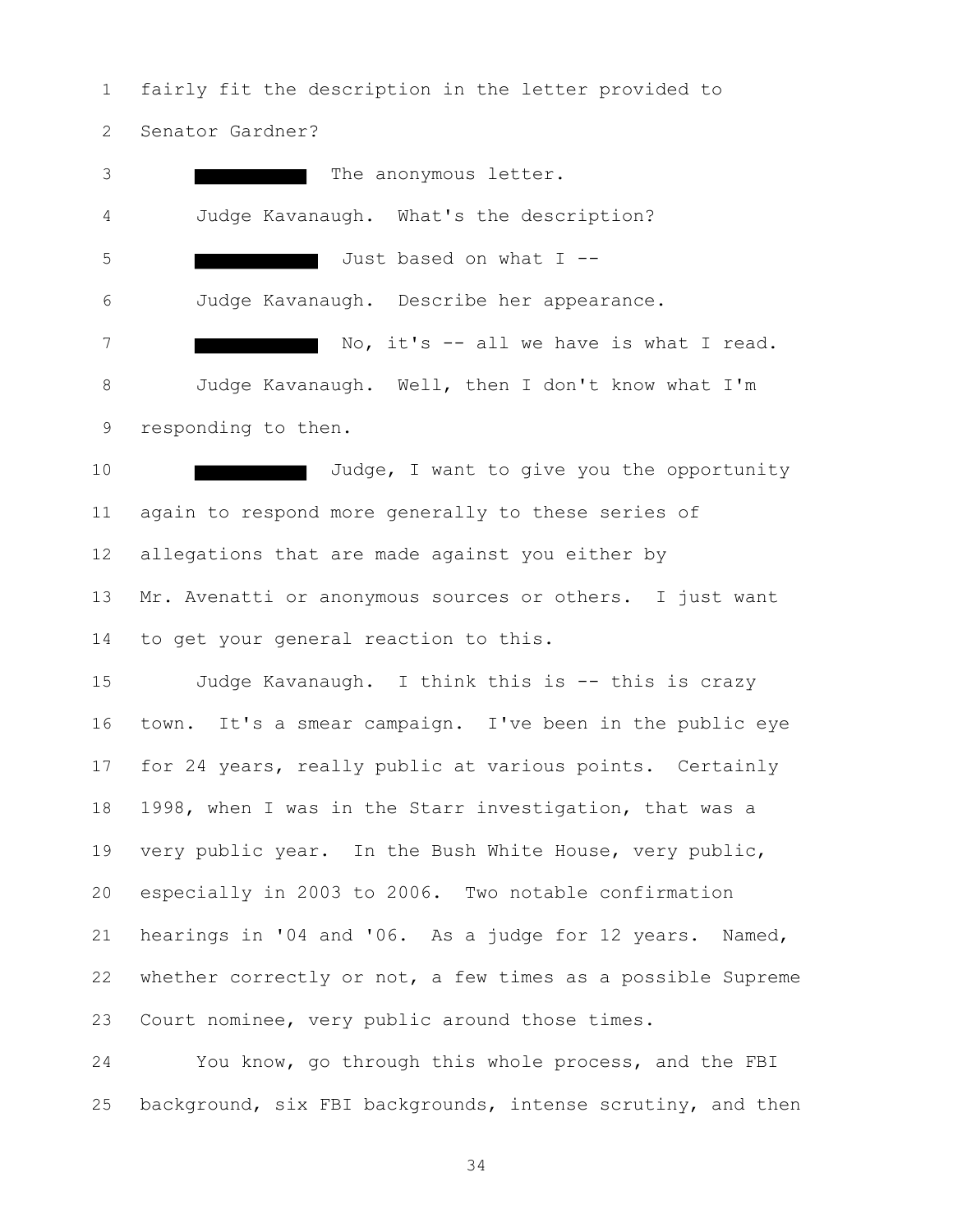fairly fit the description in the letter provided to Senator Gardner?

3 The anonymous letter. Judge Kavanaugh. What's the description? Just based on what I -- Judge Kavanaugh. Describe her appearance. 7 No, it's -- all we have is what I read. Judge Kavanaugh. Well, then I don't know what I'm responding to then.

10 Judge, I want to give you the opportunity again to respond more generally to these series of allegations that are made against you either by Mr. Avenatti or anonymous sources or others. I just want to get your general reaction to this.

 Judge Kavanaugh. I think this is -- this is crazy town. It's a smear campaign. I've been in the public eye for 24 years, really public at various points. Certainly 1998, when I was in the Starr investigation, that was a very public year. In the Bush White House, very public, especially in 2003 to 2006. Two notable confirmation hearings in '04 and '06. As a judge for 12 years. Named, whether correctly or not, a few times as a possible Supreme Court nominee, very public around those times.

 You know, go through this whole process, and the FBI background, six FBI backgrounds, intense scrutiny, and then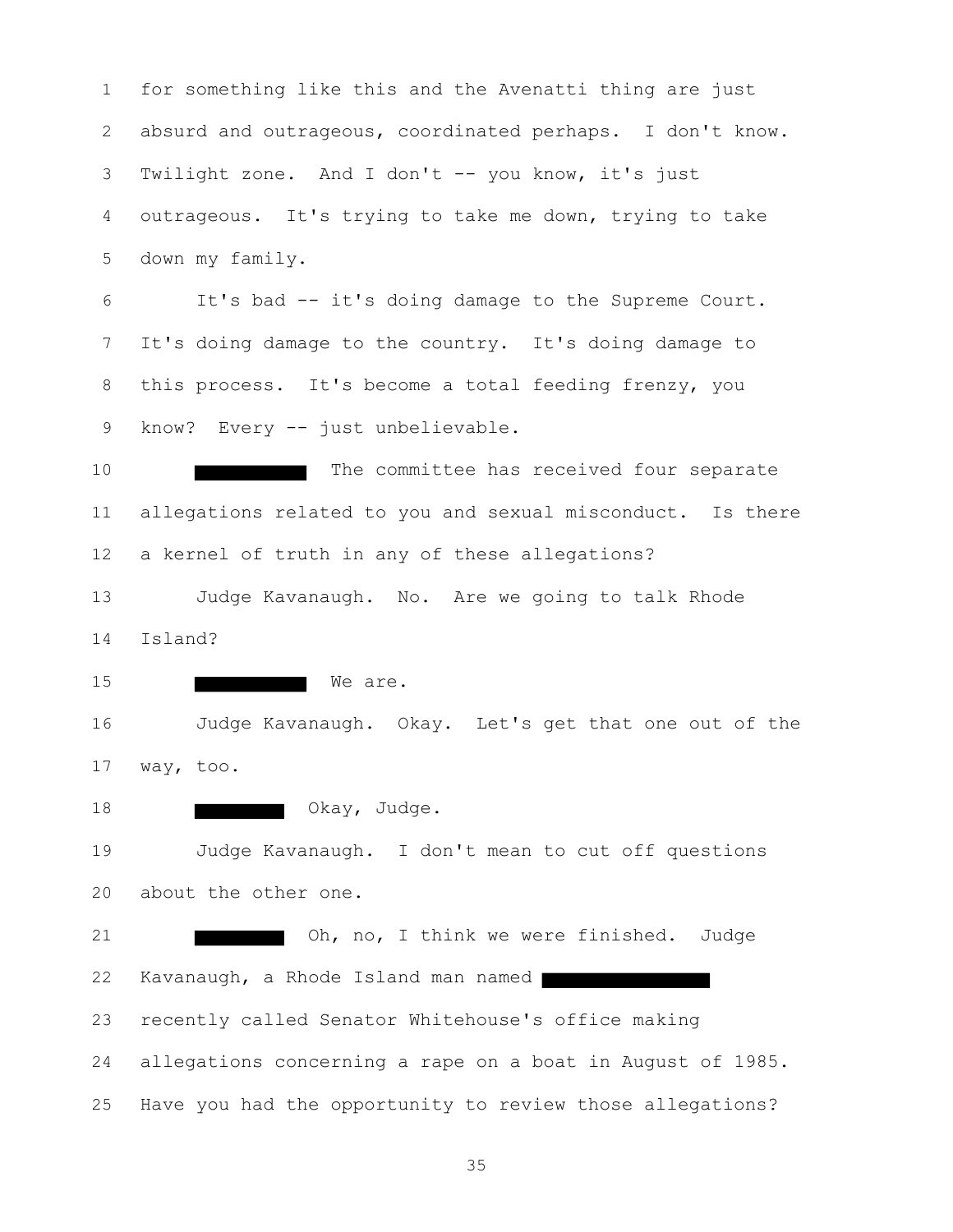for something like this and the Avenatti thing are just absurd and outrageous, coordinated perhaps. I don't know. Twilight zone. And I don't -- you know, it's just outrageous. It's trying to take me down, trying to take down my family. It's bad -- it's doing damage to the Supreme Court. It's doing damage to the country. It's doing damage to this process. It's become a total feeding frenzy, you 9 know? Every -- just unbelievable. 10 The committee has received four separate allegations related to you and sexual misconduct. Is there a kernel of truth in any of these allegations? Judge Kavanaugh. No. Are we going to talk Rhode Island? 15 We are. Judge Kavanaugh. Okay. Let's get that one out of the way, too. 18 Okay, Judge. Judge Kavanaugh. I don't mean to cut off questions about the other one. Oh, no, I think we were finished. Judge Kavanaugh, a Rhode Island man named recently called Senator Whitehouse's office making allegations concerning a rape on a boat in August of 1985. Have you had the opportunity to review those allegations?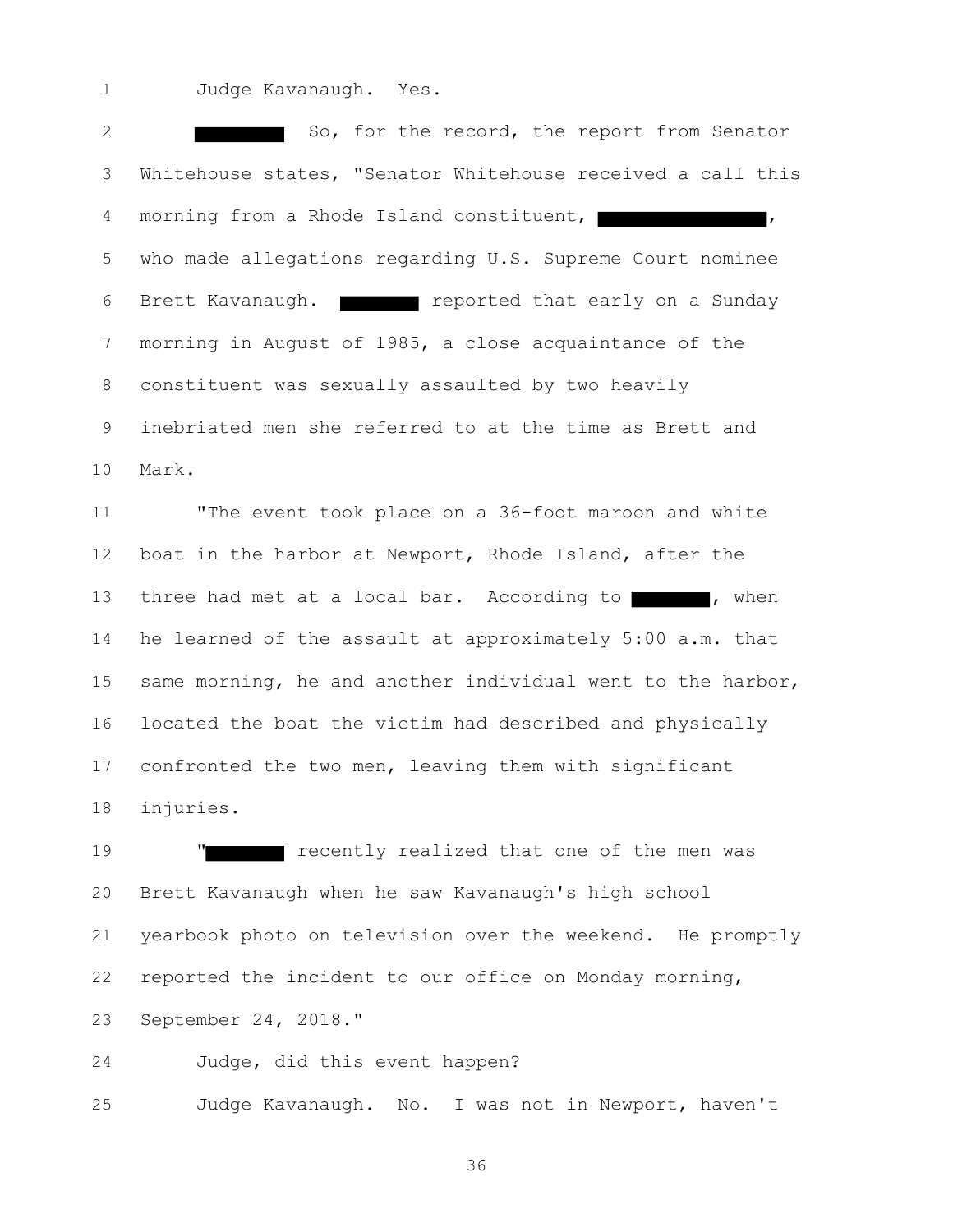Judge Kavanaugh. Yes.

2 So, for the record, the report from Senator Whitehouse states, "Senator Whitehouse received a call this 4 morning from a Rhode Island constituent, I who made allegations regarding U.S. Supreme Court nominee 6 Brett Kavanaugh. **Fig. 2018** reported that early on a Sunday morning in August of 1985, a close acquaintance of the constituent was sexually assaulted by two heavily inebriated men she referred to at the time as Brett and Mark.

 "The event took place on a 36-foot maroon and white boat in the harbor at Newport, Rhode Island, after the 13 three had met at a local bar. According to , when he learned of the assault at approximately 5:00 a.m. that same morning, he and another individual went to the harbor, located the boat the victim had described and physically confronted the two men, leaving them with significant injuries.

**"** recently realized that one of the men was Brett Kavanaugh when he saw Kavanaugh's high school yearbook photo on television over the weekend. He promptly reported the incident to our office on Monday morning, September 24, 2018."

Judge, did this event happen?

Judge Kavanaugh. No. I was not in Newport, haven't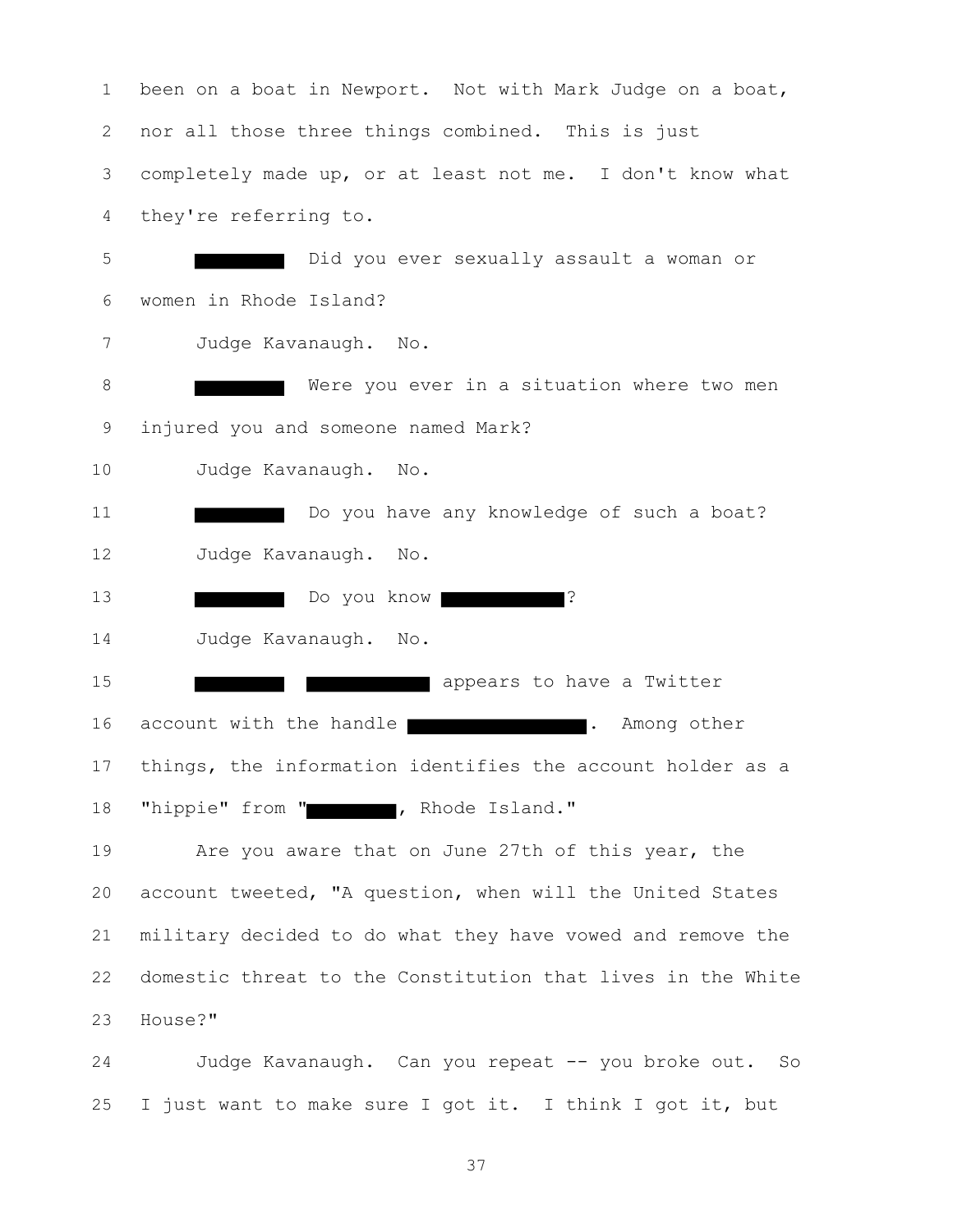been on a boat in Newport. Not with Mark Judge on a boat, nor all those three things combined. This is just completely made up, or at least not me. I don't know what they're referring to. Did you ever sexually assault a woman or women in Rhode Island? Judge Kavanaugh. No. 8 Were you ever in a situation where two men injured you and someone named Mark? Judge Kavanaugh. No. **Do you have any knowledge of such a boat?**  Judge Kavanaugh. No. 13 Do you know **Party 2008**? Judge Kavanaugh. No. **15 appears** to have a Twitter 16 account with the handle **.** The manner other things, the information identifies the account holder as a 18 "hippie" from " , Rhode Island." Are you aware that on June 27th of this year, the account tweeted, "A question, when will the United States military decided to do what they have vowed and remove the domestic threat to the Constitution that lives in the White House?"

 Judge Kavanaugh. Can you repeat -- you broke out. So I just want to make sure I got it. I think I got it, but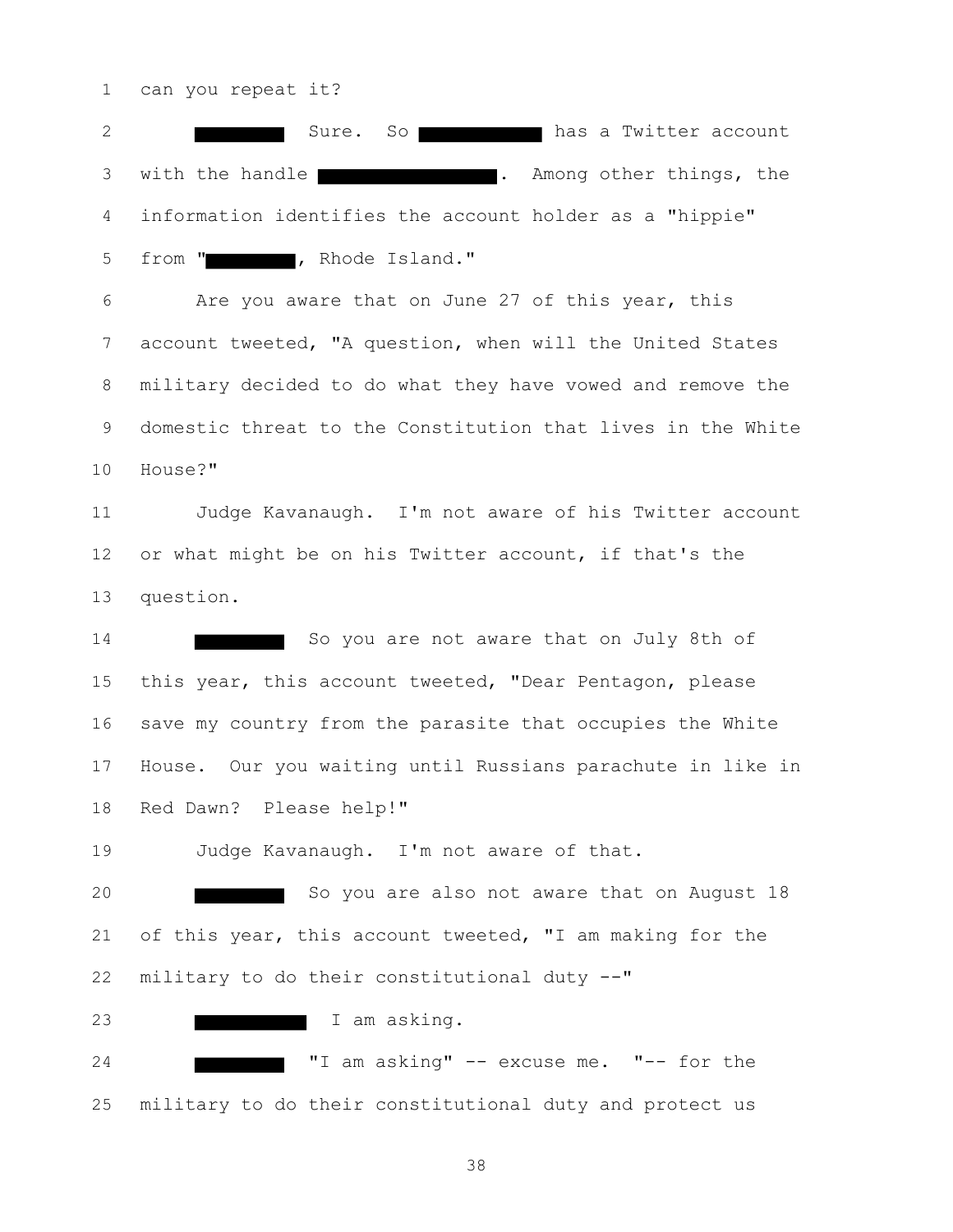can you repeat it?

2 Sure. So has a Twitter account 3 with the handle **.** The most community of the set of the set of the set of the set of the set of the set of the set of the set of the set of the set of the set of the set of the set of the set of the set of the set of th information identifies the account holder as a "hippie" 5 from " , Rhode Island."

 Are you aware that on June 27 of this year, this account tweeted, "A question, when will the United States military decided to do what they have vowed and remove the domestic threat to the Constitution that lives in the White House?"

 Judge Kavanaugh. I'm not aware of his Twitter account or what might be on his Twitter account, if that's the question.

14 So you are not aware that on July 8th of this year, this account tweeted, "Dear Pentagon, please save my country from the parasite that occupies the White House. Our you waiting until Russians parachute in like in Red Dawn? Please help!"

Judge Kavanaugh. I'm not aware of that.

20 So you are also not aware that on August 18 of this year, this account tweeted, "I am making for the military to do their constitutional duty --"

**I am asking.** 

 "I am asking" -- excuse me. "-- for the military to do their constitutional duty and protect us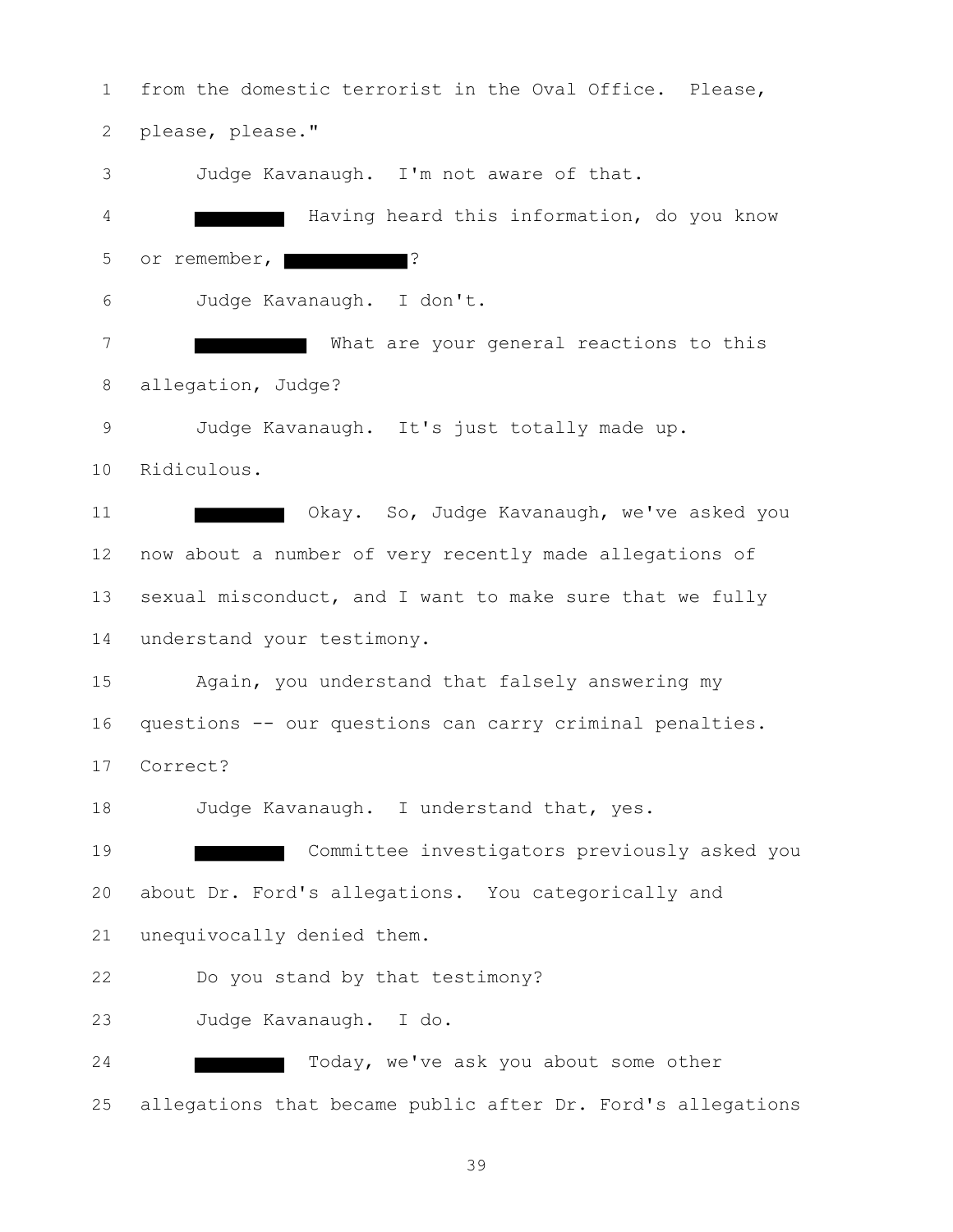from the domestic terrorist in the Oval Office. Please, please, please." Judge Kavanaugh. I'm not aware of that. Having heard this information, do you know 5 or remember,  $\blacksquare$  Judge Kavanaugh. I don't. What are your general reactions to this allegation, Judge? Judge Kavanaugh. It's just totally made up. Ridiculous. **Interest Communist Change Communist Communist Communist Communist Communist Communist Communist Communist Communist Communist Communist Communist Communist Communist Communist Communist Communist Communist Communist Co**  now about a number of very recently made allegations of sexual misconduct, and I want to make sure that we fully understand your testimony. Again, you understand that falsely answering my questions -- our questions can carry criminal penalties. Correct? 18 Judge Kavanaugh. I understand that, yes. Committee investigators previously asked you about Dr. Ford's allegations. You categorically and unequivocally denied them. Do you stand by that testimony? Judge Kavanaugh. I do. 24 Today, we've ask you about some other allegations that became public after Dr. Ford's allegations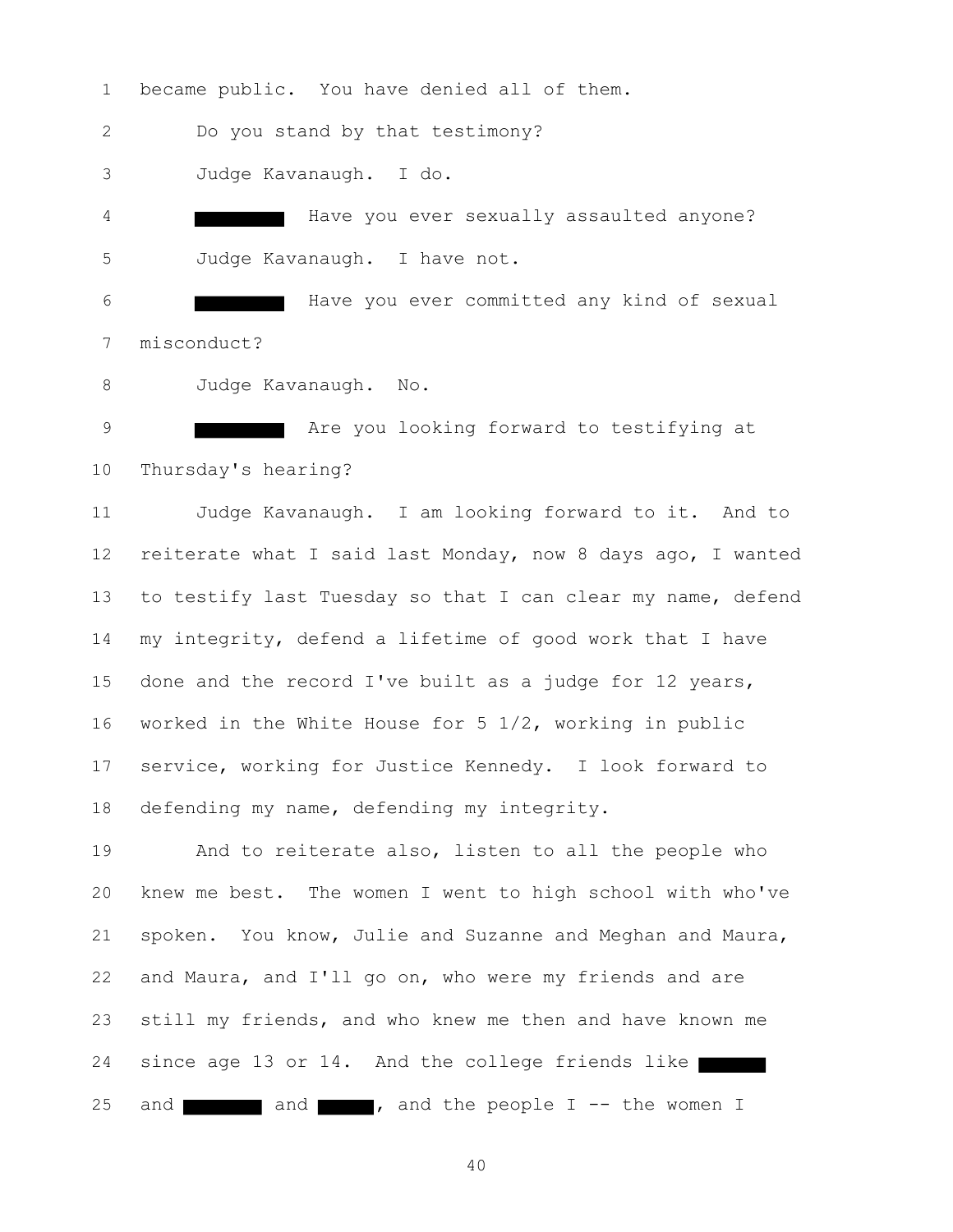became public. You have denied all of them. Do you stand by that testimony? Judge Kavanaugh. I do. Have you ever sexually assaulted anyone? Judge Kavanaugh. I have not.

 Have you ever committed any kind of sexual misconduct?

Judge Kavanaugh. No.

**Are you looking forward to testifying at** Thursday's hearing?

 Judge Kavanaugh. I am looking forward to it. And to reiterate what I said last Monday, now 8 days ago, I wanted to testify last Tuesday so that I can clear my name, defend my integrity, defend a lifetime of good work that I have done and the record I've built as a judge for 12 years, worked in the White House for 5 1/2, working in public service, working for Justice Kennedy. I look forward to defending my name, defending my integrity.

 And to reiterate also, listen to all the people who knew me best. The women I went to high school with who've spoken. You know, Julie and Suzanne and Meghan and Maura, and Maura, and I'll go on, who were my friends and are still my friends, and who knew me then and have known me 24 since age 13 or 14. And the college friends like 25 and  $\blacksquare$  and  $\blacksquare$ , and the people I -- the women I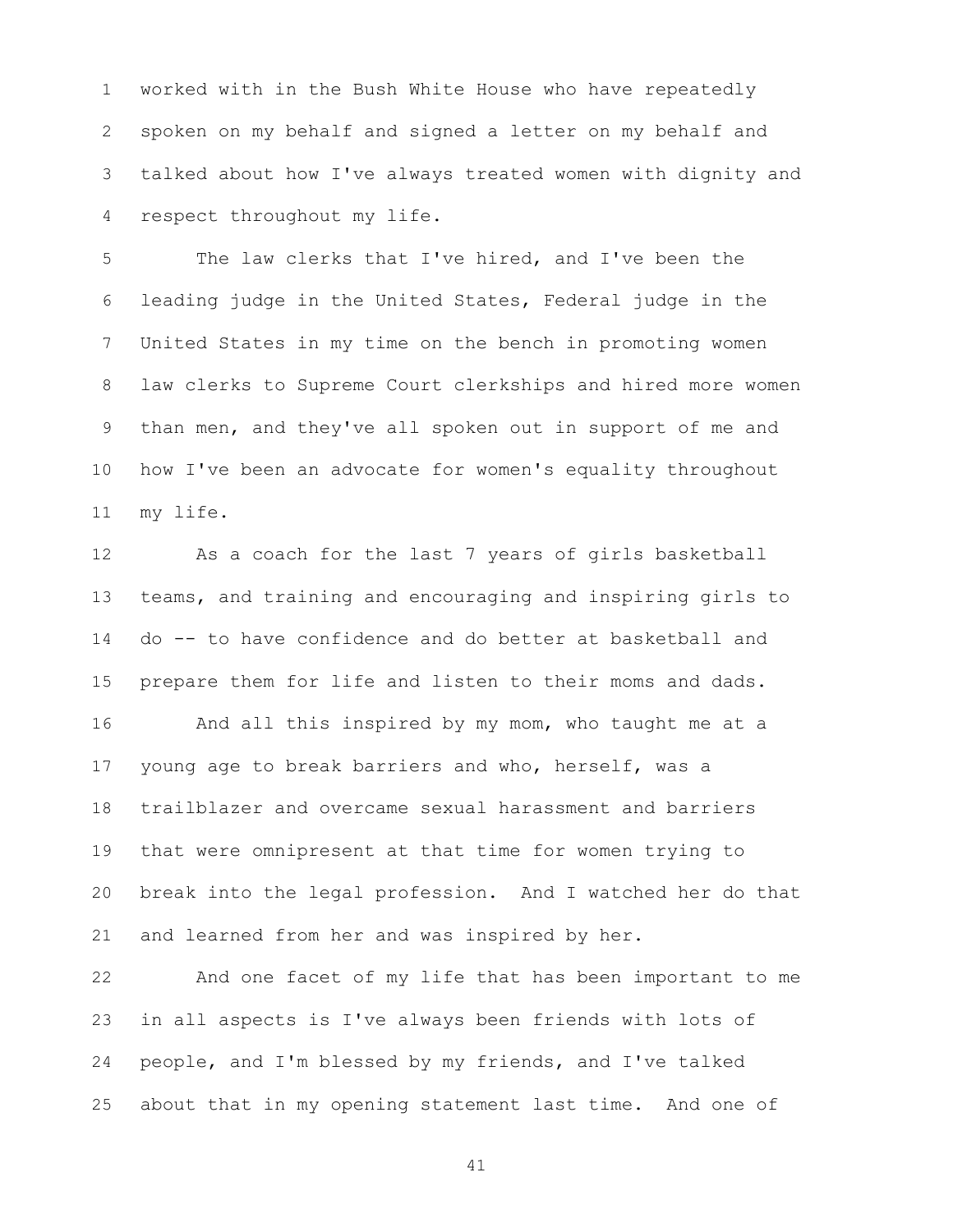worked with in the Bush White House who have repeatedly spoken on my behalf and signed a letter on my behalf and talked about how I've always treated women with dignity and respect throughout my life.

 The law clerks that I've hired, and I've been the leading judge in the United States, Federal judge in the United States in my time on the bench in promoting women law clerks to Supreme Court clerkships and hired more women than men, and they've all spoken out in support of me and how I've been an advocate for women's equality throughout my life.

 As a coach for the last 7 years of girls basketball teams, and training and encouraging and inspiring girls to do -- to have confidence and do better at basketball and prepare them for life and listen to their moms and dads.

16 And all this inspired by my mom, who taught me at a young age to break barriers and who, herself, was a trailblazer and overcame sexual harassment and barriers that were omnipresent at that time for women trying to break into the legal profession. And I watched her do that and learned from her and was inspired by her.

 And one facet of my life that has been important to me in all aspects is I've always been friends with lots of people, and I'm blessed by my friends, and I've talked about that in my opening statement last time. And one of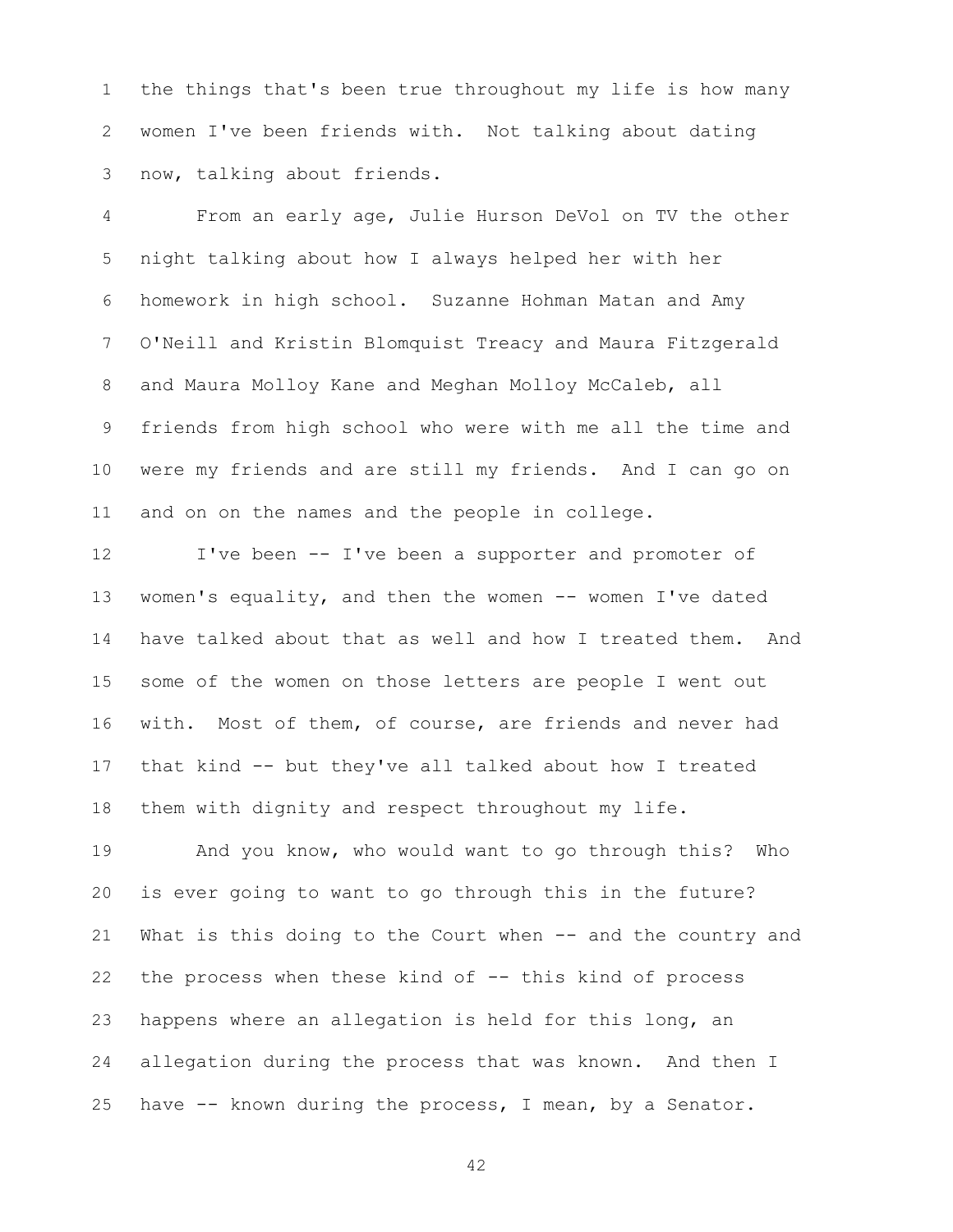the things that's been true throughout my life is how many women I've been friends with. Not talking about dating now, talking about friends.

 From an early age, Julie Hurson DeVol on TV the other night talking about how I always helped her with her homework in high school. Suzanne Hohman Matan and Amy O'Neill and Kristin Blomquist Treacy and Maura Fitzgerald and Maura Molloy Kane and Meghan Molloy McCaleb, all friends from high school who were with me all the time and were my friends and are still my friends. And I can go on and on on the names and the people in college.

 I've been -- I've been a supporter and promoter of women's equality, and then the women -- women I've dated have talked about that as well and how I treated them. And some of the women on those letters are people I went out with. Most of them, of course, are friends and never had that kind -- but they've all talked about how I treated them with dignity and respect throughout my life.

 And you know, who would want to go through this? Who is ever going to want to go through this in the future? What is this doing to the Court when -- and the country and the process when these kind of -- this kind of process happens where an allegation is held for this long, an allegation during the process that was known. And then I have -- known during the process, I mean, by a Senator.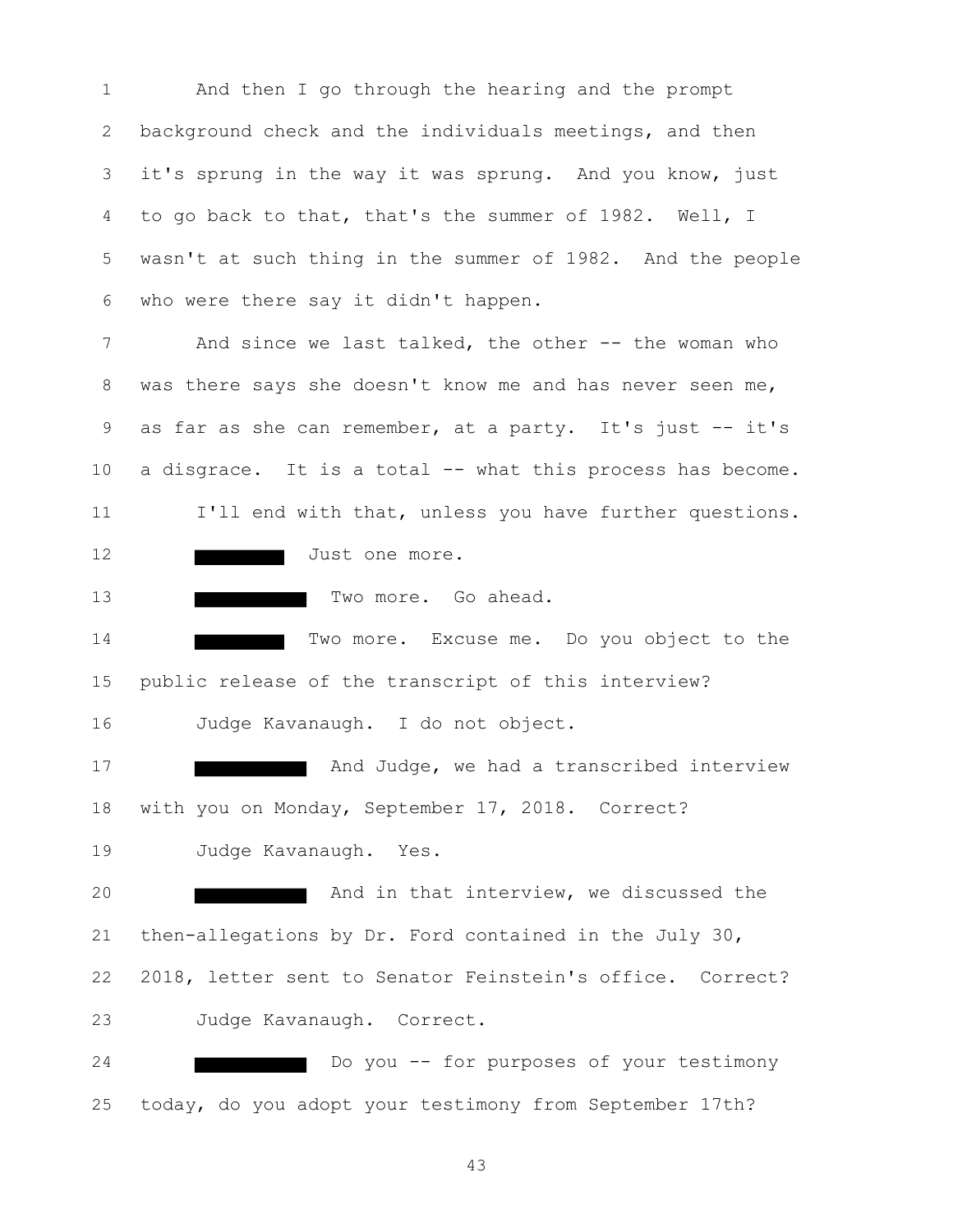And then I go through the hearing and the prompt background check and the individuals meetings, and then it's sprung in the way it was sprung. And you know, just to go back to that, that's the summer of 1982. Well, I wasn't at such thing in the summer of 1982. And the people who were there say it didn't happen.

7 And since we last talked, the other -- the woman who was there says she doesn't know me and has never seen me, 9 as far as she can remember, at a party. It's just -- it's a disgrace. It is a total -- what this process has become. 11 I'll end with that, unless you have further questions. 12 Just one more.

13 Two more. Go ahead.

14 Two more. Excuse me. Do you object to the public release of the transcript of this interview? Judge Kavanaugh. I do not object.

**And Judge, we had a transcribed interview**  with you on Monday, September 17, 2018. Correct? Judge Kavanaugh. Yes.

**And in that interview, we discussed the**  then-allegations by Dr. Ford contained in the July 30, 2018, letter sent to Senator Feinstein's office. Correct? Judge Kavanaugh. Correct.

 Do you -- for purposes of your testimony today, do you adopt your testimony from September 17th?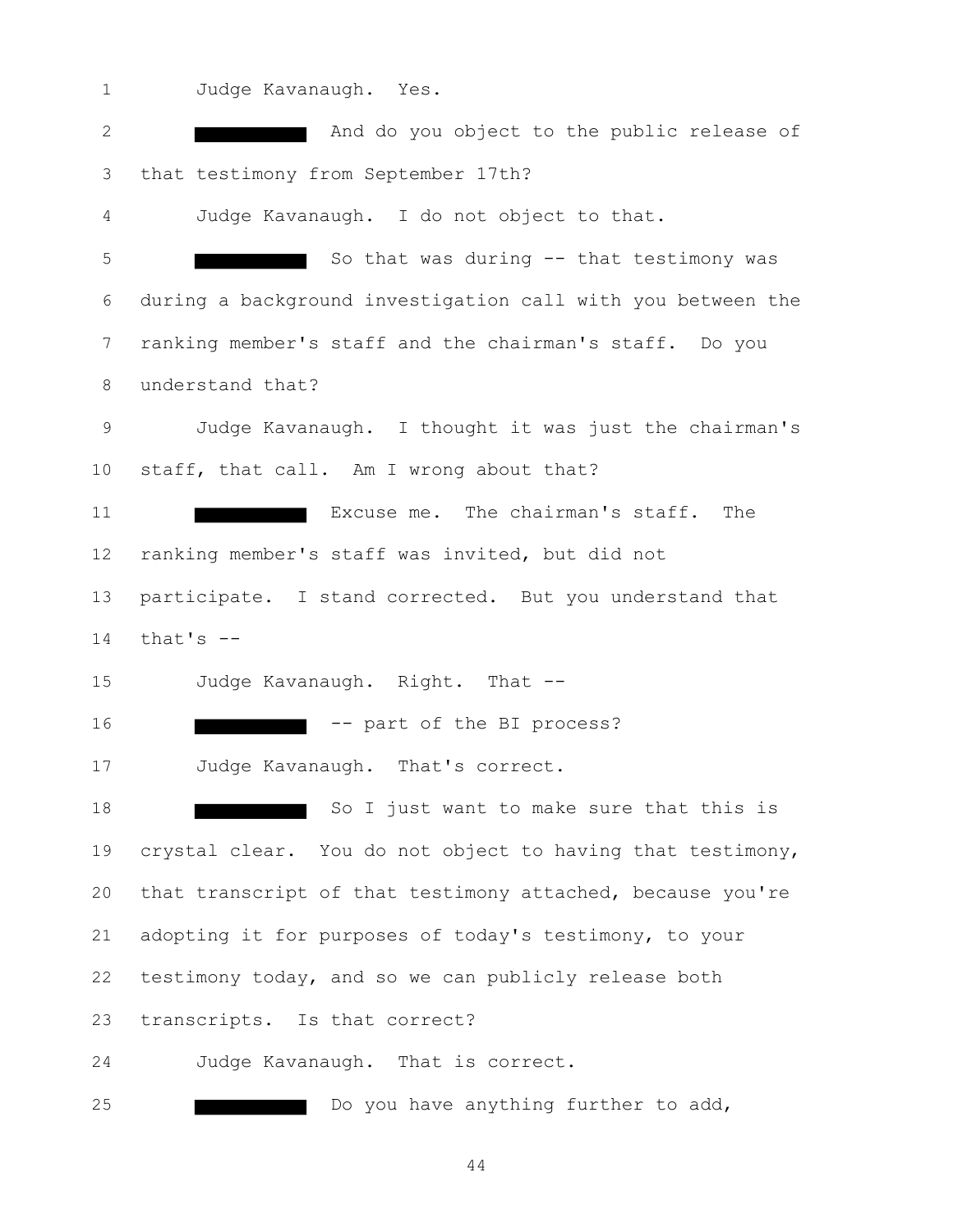Judge Kavanaugh. Yes.

| $\mathbf{2}$    | And do you object to the public release of                  |
|-----------------|-------------------------------------------------------------|
| 3               | that testimony from September 17th?                         |
| 4               | Judge Kavanaugh. I do not object to that.                   |
| 5               | So that was during -- that testimony was                    |
| 6               | during a background investigation call with you between the |
| 7               | ranking member's staff and the chairman's staff. Do you     |
| 8               | understand that?                                            |
| 9               | Judge Kavanaugh. I thought it was just the chairman's       |
| 10 <sub>o</sub> | staff, that call. Am I wrong about that?                    |
| 11              | Excuse me. The chairman's staff.<br>The                     |
| 12              | ranking member's staff was invited, but did not             |
| 13              | participate. I stand corrected. But you understand that     |
| 14              | that's $--$                                                 |
| 15              | Judge Kavanaugh. Right. That --                             |
| 16              | -- part of the BI process?                                  |
| 17              | Judge Kavanaugh. That's correct.                            |
| 18              | So I just want to make sure that this is                    |
| 19              | crystal clear. You do not object to having that testimony,  |
| 20              | that transcript of that testimony attached, because you're  |
| 21              | adopting it for purposes of today's testimony, to your      |
| 22              | testimony today, and so we can publicly release both        |
| 23              | transcripts. Is that correct?                               |
| 24              | Judge Kavanaugh. That is correct.                           |
| 25              |                                                             |